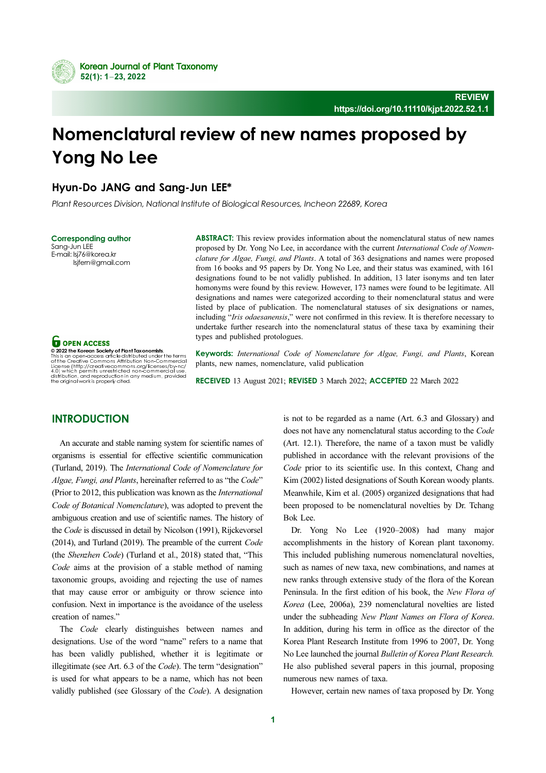

# Nomenclatural review of new names proposed by Yong No Lee

# Hyun-Do JANG and Sang-Jun LEE\*

Plant Resources Division, National Institute of Biological Resources, Incheon 22689, Korea

**Corresponding author**<br>Sang-Jun LEE E-mail: lsj76@korea.kr  $\text{Isifern@mmail}$ 

lsjfern@gmail.com

**O** OPEN ACCESS

This is an open-access article distributed under the terms<br>of the Creative Commons Attribution Non-Commercial<br>License (http://creativecommons.org/licenses/by-nc/<br>4.0) which permits unrestricted non-commercial use,<br>distribu

ABSTRACT: This review provides information about the nomenclatural status of new names proposed by Dr. Yong No Lee, in accordance with the current International Code of Nomenclature for Algae, Fungi, and Plants. A total of 363 designations and names were proposed from 16 books and 95 papers by Dr. Yong No Lee, and their status was examined, with 161 designations found to be not validly published. In addition, 13 later isonyms and ten later homonyms were found by this review. However, 173 names were found to be legitimate. All designations and names were categorized according to their nomenclatural status and were listed by place of publication. The nomenclatural statuses of six designations or names, including "Iris odaesanensis," were not confirmed in this review. It is therefore necessary to undertake further research into the nomenclatural status of these taxa by examining their types and published protologues.

Keywords: International Code of Nomenclature for Algae, Fungi, and Plants, Korean plants, new names, nomenclature, valid publication

RECEIVED 13 August 2021; REVISED 3 March 2022; ACCEPTED 22 March 2022

# **INTRODUCTION**

An accurate and stable naming system for scientific names of organisms is essential for effective scientific communication (Turland, 2019). The International Code of Nomenclature for Algae, Fungi, and Plants, hereinafter referred to as "the Code" (Prior to 2012, this publication was known as the International Code of Botanical Nomenclature), was adopted to prevent the ambiguous creation and use of scientific names. The history of the Code is discussed in detail by Nicolson (1991), Rijckevorsel (2014), and Turland (2019). The preamble of the current Code (the Shenzhen Code) (Turland et al., 2018) stated that, "This Code aims at the provision of a stable method of naming taxonomic groups, avoiding and rejecting the use of names that may cause error or ambiguity or throw science into confusion. Next in importance is the avoidance of the useless creation of names."

The *Code* clearly distinguishes between names and designations. Use of the word "name" refers to a name that has been validly published, whether it is legitimate or illegitimate (see Art. 6.3 of the Code). The term "designation" is used for what appears to be a name, which has not been validly published (see Glossary of the Code). A designation is not to be regarded as a name (Art. 6.3 and Glossary) and does not have any nomenclatural status according to the Code (Art. 12.1). Therefore, the name of a taxon must be validly published in accordance with the relevant provisions of the Code prior to its scientific use. In this context, Chang and Kim (2002) listed designations of South Korean woody plants. Meanwhile, Kim et al. (2005) organized designations that had been proposed to be nomenclatural novelties by Dr. Tchang Bok Lee.

Dr. Yong No Lee (1920–2008) had many major accomplishments in the history of Korean plant taxonomy. This included publishing numerous nomenclatural novelties, such as names of new taxa, new combinations, and names at new ranks through extensive study of the flora of the Korean Peninsula. In the first edition of his book, the New Flora of Korea (Lee, 2006a), 239 nomenclatural novelties are listed under the subheading New Plant Names on Flora of Korea. In addition, during his term in office as the director of the Korea Plant Research Institute from 1996 to 2007, Dr. Yong No Lee launched the journal Bulletin of Korea Plant Research. He also published several papers in this journal, proposing numerous new names of taxa.

However, certain new names of taxa proposed by Dr. Yong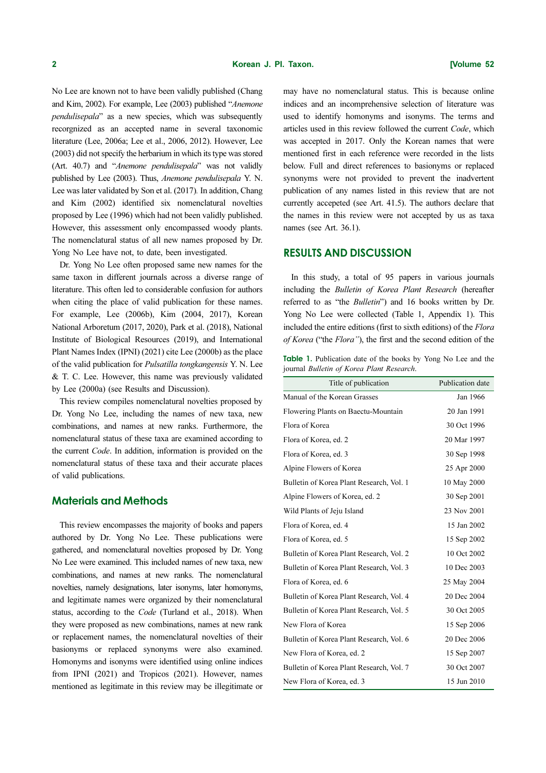No Lee are known not to have been validly published (Chang and Kim, 2002). For example, Lee (2003) published "Anemone pendulisepala" as a new species, which was subsequently recorgnized as an accepted name in several taxonomic literature (Lee, 2006a; Lee et al., 2006, 2012). However, Lee (2003) did not specify the herbarium in which its type was stored (Art. 40.7) and "Anemone pendulisepala" was not validly published by Lee (2003). Thus, Anemone pendulisepala Y. N. Lee was later validated by Son et al. (2017). In addition, Chang and Kim (2002) identified six nomenclatural novelties proposed by Lee (1996) which had not been validly published. However, this assessment only encompassed woody plants. The nomenclatural status of all new names proposed by Dr. Yong No Lee have not, to date, been investigated.

Dr. Yong No Lee often proposed same new names for the same taxon in different journals across a diverse range of literature. This often led to considerable confusion for authors when citing the place of valid publication for these names. For example, Lee (2006b), Kim (2004, 2017), Korean National Arboretum (2017, 2020), Park et al. (2018), National Institute of Biological Resources (2019), and International Plant Names Index (IPNI) (2021) cite Lee (2000b) as the place of the valid publication for Pulsatilla tongkangensis Y. N. Lee & T. C. Lee. However, this name was previously validated by Lee (2000a) (see Results and Discussion).

This review compiles nomenclatural novelties proposed by Dr. Yong No Lee, including the names of new taxa, new combinations, and names at new ranks. Furthermore, the nomenclatural status of these taxa are examined according to the current Code. In addition, information is provided on the nomenclatural status of these taxa and their accurate places of valid publications.

# Materials and Methods

This review encompasses the majority of books and papers authored by Dr. Yong No Lee. These publications were gathered, and nomenclatural novelties proposed by Dr. Yong No Lee were examined. This included names of new taxa, new combinations, and names at new ranks. The nomenclatural novelties, namely designations, later isonyms, later homonyms, and legitimate names were organized by their nomenclatural status, according to the Code (Turland et al., 2018). When they were proposed as new combinations, names at new rank or replacement names, the nomenclatural novelties of their basionyms or replaced synonyms were also examined. Homonyms and isonyms were identified using online indices from IPNI (2021) and Tropicos (2021). However, names mentioned as legitimate in this review may be illegitimate or may have no nomenclatural status. This is because online indices and an incomprehensive selection of literature was used to identify homonyms and isonyms. The terms and articles used in this review followed the current Code, which was accepted in 2017. Only the Korean names that were mentioned first in each reference were recorded in the lists below. Full and direct references to basionyms or replaced synonyms were not provided to prevent the inadvertent publication of any names listed in this review that are not currently accepeted (see Art. 41.5). The authors declare that the names in this review were not accepted by us as taxa names (see Art. 36.1).

# RESULTS AND DISCUSSION

In this study, a total of 95 papers in various journals including the Bulletin of Korea Plant Research (hereafter referred to as "the Bulletin") and 16 books written by Dr. Yong No Lee were collected (Table 1, Appendix 1). This included the entire editions (first to sixth editions) of the Flora of Korea ("the Flora"), the first and the second edition of the

Table 1. Publication date of the books by Yong No Lee and the journal Bulletin of Korea Plant Research.

| Title of publication                     | Publication date |
|------------------------------------------|------------------|
| Manual of the Korean Grasses             | Jan 1966         |
| Flowering Plants on Baectu-Mountain      | 20 Jan 1991      |
| Flora of Korea                           | 30 Oct 1996      |
| Flora of Korea, ed. 2                    | 20 Mar 1997      |
| Flora of Korea, ed. 3                    | 30 Sep 1998      |
| Alpine Flowers of Korea                  | 25 Apr 2000      |
| Bulletin of Korea Plant Research, Vol. 1 | 10 May 2000      |
| Alpine Flowers of Korea, ed. 2           | 30 Sep 2001      |
| Wild Plants of Jeju Island               | 23 Nov 2001      |
| Flora of Korea, ed. 4                    | 15 Jan 2002      |
| Flora of Korea, ed. 5                    | 15 Sep 2002      |
| Bulletin of Korea Plant Research, Vol. 2 | 10 Oct 2002      |
| Bulletin of Korea Plant Research, Vol. 3 | 10 Dec 2003      |
| Flora of Korea, ed. 6                    | 25 May 2004      |
| Bulletin of Korea Plant Research, Vol. 4 | 20 Dec 2004      |
| Bulletin of Korea Plant Research, Vol. 5 | 30 Oct 2005      |
| New Flora of Korea                       | 15 Sep 2006      |
| Bulletin of Korea Plant Research, Vol. 6 | 20 Dec 2006      |
| New Flora of Korea, ed. 2                | 15 Sep 2007      |
| Bulletin of Korea Plant Research, Vol. 7 | 30 Oct 2007      |
| New Flora of Korea, ed. 3                | 15 Jun 2010      |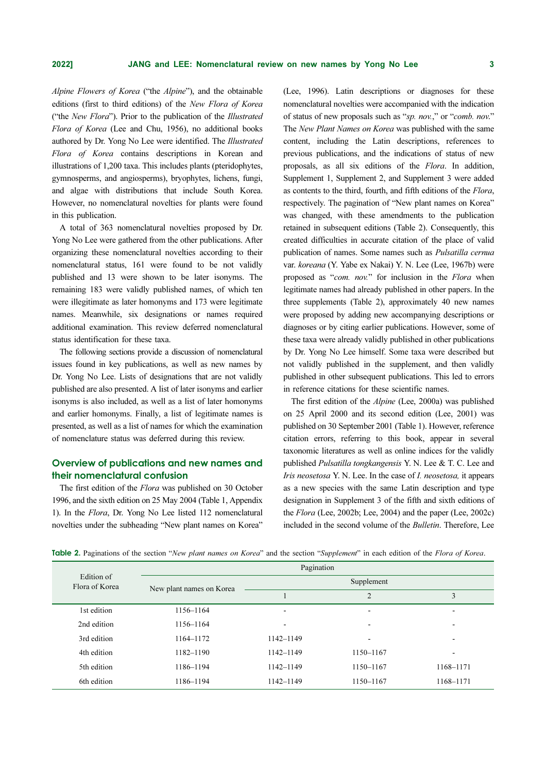Alpine Flowers of Korea ("the Alpine"), and the obtainable editions (first to third editions) of the New Flora of Korea ("the New Flora"). Prior to the publication of the Illustrated Flora of Korea (Lee and Chu, 1956), no additional books authored by Dr. Yong No Lee were identified. The Illustrated Flora of Korea contains descriptions in Korean and illustrations of 1,200 taxa. This includes plants (pteridophytes, gymnosperms, and angiosperms), bryophytes, lichens, fungi, and algae with distributions that include South Korea. However, no nomenclatural novelties for plants were found in this publication.

A total of 363 nomenclatural novelties proposed by Dr. Yong No Lee were gathered from the other publications. After organizing these nomenclatural novelties according to their nomenclatural status, 161 were found to be not validly published and 13 were shown to be later isonyms. The remaining 183 were validly published names, of which ten were illegitimate as later homonyms and 173 were legitimate names. Meanwhile, six designations or names required additional examination. This review deferred nomenclatural status identification for these taxa.

The following sections provide a discussion of nomenclatural issues found in key publications, as well as new names by Dr. Yong No Lee. Lists of designations that are not validly published are also presented. A list of later isonyms and earlier isonyms is also included, as well as a list of later homonyms and earlier homonyms. Finally, a list of legitimate names is presented, as well as a list of names for which the examination of nomenclature status was deferred during this review.

# Overview of publications and new names and their nomenclatural confusion

The first edition of the *Flora* was published on 30 October 1996, and the sixth edition on 25 May 2004 (Table 1, Appendix 1). In the Flora, Dr. Yong No Lee listed 112 nomenclatural novelties under the subheading "New plant names on Korea" (Lee, 1996). Latin descriptions or diagnoses for these nomenclatural novelties were accompanied with the indication of status of new proposals such as "sp. nov." or "comb. nov." The New Plant Names on Korea was published with the same content, including the Latin descriptions, references to previous publications, and the indications of status of new proposals, as all six editions of the Flora. In addition, Supplement 1, Supplement 2, and Supplement 3 were added as contents to the third, fourth, and fifth editions of the Flora, respectively. The pagination of "New plant names on Korea" was changed, with these amendments to the publication retained in subsequent editions (Table 2). Consequently, this created difficulties in accurate citation of the place of valid publication of names. Some names such as Pulsatilla cernua var. koreana (Y. Yabe ex Nakai) Y. N. Lee (Lee, 1967b) were proposed as "com. nov." for inclusion in the Flora when legitimate names had already published in other papers. In the three supplements (Table 2), approximately 40 new names were proposed by adding new accompanying descriptions or diagnoses or by citing earlier publications. However, some of these taxa were already validly published in other publications by Dr. Yong No Lee himself. Some taxa were described but not validly published in the supplement, and then validly published in other subsequent publications. This led to errors in reference citations for these scientific names.

The first edition of the Alpine (Lee, 2000a) was published on 25 April 2000 and its second edition (Lee, 2001) was published on 30 September 2001 (Table 1). However, reference citation errors, referring to this book, appear in several taxonomic literatures as well as online indices for the validly published Pulsatilla tongkangensis Y. N. Lee & T. C. Lee and Iris neosetosa Y. N. Lee. In the case of *I. neosetosa*, it appears as a new species with the same Latin description and type designation in Supplement 3 of the fifth and sixth editions of the Flora (Lee, 2002b; Lee, 2004) and the paper (Lee, 2002c) included in the second volume of the *Bulletin*. Therefore, Lee

| Table 2. Paginations of the section "New plant names on Korea" and the section "Supplement" in each edition of the Flora of Korea. |  |
|------------------------------------------------------------------------------------------------------------------------------------|--|
|------------------------------------------------------------------------------------------------------------------------------------|--|

| Edition of<br>Flora of Korea | Pagination               |                          |                          |           |  |
|------------------------------|--------------------------|--------------------------|--------------------------|-----------|--|
|                              | New plant names on Korea |                          | Supplement               |           |  |
|                              |                          |                          | $\overline{2}$           | 3         |  |
| 1st edition                  | 1156-1164                | $\overline{\phantom{0}}$ | $\overline{\phantom{0}}$ |           |  |
| 2nd edition                  | 1156-1164                | $\overline{\phantom{0}}$ | -                        |           |  |
| 3rd edition                  | 1164-1172                | 1142-1149                | $\overline{\phantom{0}}$ |           |  |
| 4th edition                  | 1182-1190                | 1142-1149                | 1150-1167                |           |  |
| 5th edition                  | 1186-1194                | 1142-1149                | 1150-1167                | 1168-1171 |  |
| 6th edition                  | 1186-1194                | 1142-1149                | 1150-1167                | 1168-1171 |  |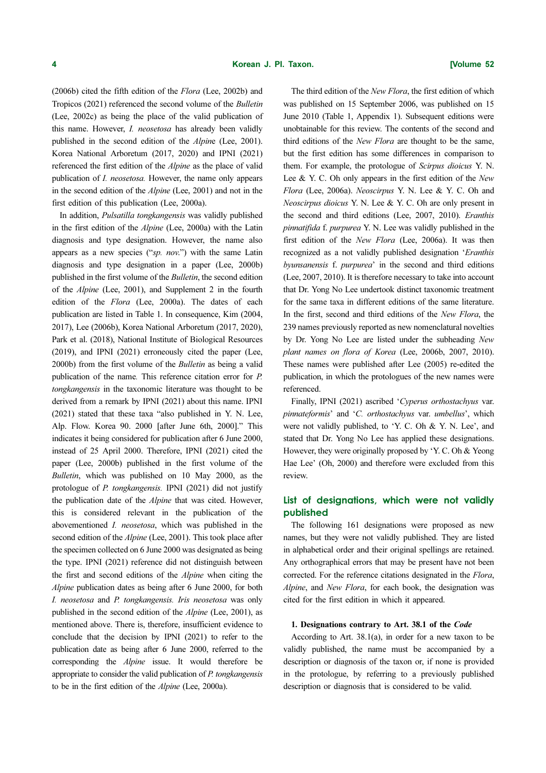(2006b) cited the fifth edition of the Flora (Lee, 2002b) and Tropicos (2021) referenced the second volume of the Bulletin (Lee, 2002c) as being the place of the valid publication of this name. However, *I. neosetosa* has already been validly published in the second edition of the Alpine (Lee, 2001). Korea National Arboretum (2017, 2020) and IPNI (2021) referenced the first edition of the Alpine as the place of valid publication of I. neosetosa. However, the name only appears in the second edition of the Alpine (Lee, 2001) and not in the first edition of this publication (Lee, 2000a).

In addition, Pulsatilla tongkangensis was validly published in the first edition of the Alpine (Lee, 2000a) with the Latin diagnosis and type designation. However, the name also appears as a new species ("sp. nov.") with the same Latin diagnosis and type designation in a paper (Lee, 2000b) published in the first volume of the Bulletin, the second edition of the Alpine (Lee, 2001), and Supplement 2 in the fourth edition of the Flora (Lee, 2000a). The dates of each publication are listed in Table 1. In consequence, Kim (2004, 2017), Lee (2006b), Korea National Arboretum (2017, 2020), Park et al. (2018), National Institute of Biological Resources (2019), and IPNI (2021) erroneously cited the paper (Lee, 2000b) from the first volume of the Bulletin as being a valid publication of the name. This reference citation error for P. tongkangensis in the taxonomic literature was thought to be derived from a remark by IPNI (2021) about this name. IPNI (2021) stated that these taxa "also published in Y. N. Lee, Alp. Flow. Korea 90. 2000 [after June 6th, 2000]." This indicates it being considered for publication after 6 June 2000, instead of 25 April 2000. Therefore, IPNI (2021) cited the paper (Lee, 2000b) published in the first volume of the Bulletin, which was published on 10 May 2000, as the protologue of P. tongkangensis. IPNI (2021) did not justify the publication date of the Alpine that was cited. However, this is considered relevant in the publication of the abovementioned I. neosetosa, which was published in the second edition of the *Alpine* (Lee, 2001). This took place after the specimen collected on 6 June 2000 was designated as being the type. IPNI (2021) reference did not distinguish between the first and second editions of the Alpine when citing the Alpine publication dates as being after 6 June 2000, for both I. neosetosa and P. tongkangensis. Iris neosetosa was only published in the second edition of the Alpine (Lee, 2001), as mentioned above. There is, therefore, insufficient evidence to conclude that the decision by IPNI (2021) to refer to the publication date as being after 6 June 2000, referred to the corresponding the Alpine issue. It would therefore be appropriate to consider the valid publication of P. tongkangensis to be in the first edition of the Alpine (Lee, 2000a).

The third edition of the New Flora, the first edition of which was published on 15 September 2006, was published on 15 June 2010 (Table 1, Appendix 1). Subsequent editions were unobtainable for this review. The contents of the second and third editions of the New Flora are thought to be the same, but the first edition has some differences in comparison to them. For example, the protologue of Scirpus dioicus Y. N. Lee & Y. C. Oh only appears in the first edition of the New Flora (Lee, 2006a). Neoscirpus Y. N. Lee & Y. C. Oh and Neoscirpus dioicus Y. N. Lee & Y. C. Oh are only present in the second and third editions (Lee, 2007, 2010). Eranthis pinnatifida f. purpurea Y. N. Lee was validly published in the first edition of the New Flora (Lee, 2006a). It was then recognized as a not validly published designation 'Eranthis byunsanensis f. purpurea' in the second and third editions (Lee, 2007, 2010). It is therefore necessary to take into account that Dr. Yong No Lee undertook distinct taxonomic treatment for the same taxa in different editions of the same literature. In the first, second and third editions of the New Flora, the 239 names previously reported as new nomenclatural novelties by Dr. Yong No Lee are listed under the subheading New plant names on flora of Korea (Lee, 2006b, 2007, 2010). These names were published after Lee (2005) re-edited the publication, in which the protologues of the new names were referenced.

Finally, IPNI (2021) ascribed 'Cyperus orthostachyus var. pinnateformis' and 'C. orthostachyus var. umbellus', which were not validly published, to 'Y. C. Oh & Y. N. Lee', and stated that Dr. Yong No Lee has applied these designations. However, they were originally proposed by 'Y. C. Oh & Yeong Hae Lee' (Oh, 2000) and therefore were excluded from this review.

# List of designations, which were not validly published

The following 161 designations were proposed as new names, but they were not validly published. They are listed in alphabetical order and their original spellings are retained. Any orthographical errors that may be present have not been corrected. For the reference citations designated in the Flora, Alpine, and New Flora, for each book, the designation was cited for the first edition in which it appeared.

# 1. Designations contrary to Art. 38.1 of the Code

According to Art. 38.1(a), in order for a new taxon to be validly published, the name must be accompanied by a description or diagnosis of the taxon or, if none is provided in the protologue, by referring to a previously published description or diagnosis that is considered to be valid.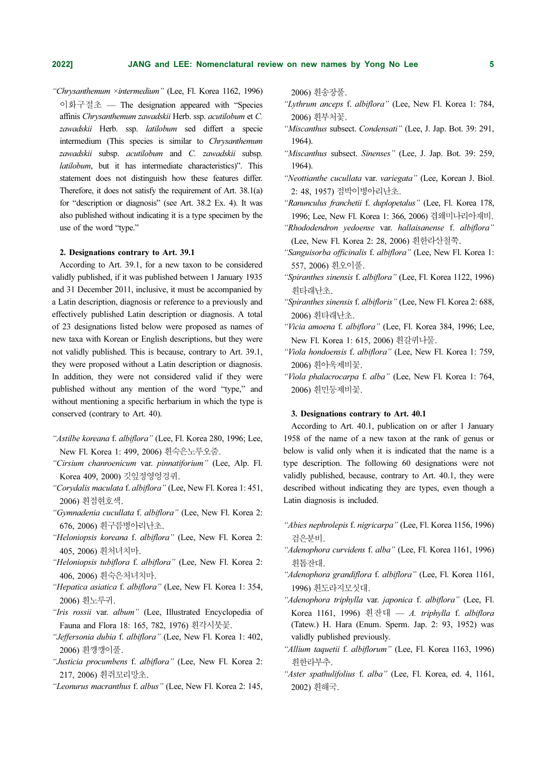"Chrysanthemum ×intermedium" (Lee, Fl. Korea 1162, 1996) 이화구절초 — The designation appeared with "Species affinis Chrysanthemum zawadskii Herb. ssp. acutilobum et C. zawadskii Herb. ssp. latilobum sed differt a specie intermedium (This species is similar to Chrysanthemum zawadskii subsp. acutilobum and C. zawadskii subsp. latilobum, but it has intermediate characteristics)". This statement does not distinguish how these features differ. Therefore, it does not satisfy the requirement of Art. 38.1(a) for "description or diagnosis" (see Art. 38.2 Ex. 4). It was also published without indicating it is a type specimen by the use of the word "type."

#### 2. Designations contrary to Art. 39.1

According to Art. 39.1, for a new taxon to be considered validly published, if it was published between 1 January 1935 and 31 December 2011, inclusive, it must be accompanied by a Latin description, diagnosis or reference to a previously and effectively published Latin description or diagnosis. A total of 23 designations listed below were proposed as names of new taxa with Korean or English descriptions, but they were not validly published. This is because, contrary to Art. 39.1, they were proposed without a Latin description or diagnosis. In addition, they were not considered valid if they were published without any mention of the word "type," and without mentioning a specific herbarium in which the type is conserved (contrary to Art. 40).

- "Astilbe koreana f. albiflora" (Lee, Fl. Korea 280, 1996; Lee, New Fl. Korea 1: 499, 2006) 흰숙은노루오줌.
- "Cirsium chanroenicum var. pinnatiforium" (Lee, Alp. Fl. Korea 409, 2000) 깃잎정영엉겅퀴.
- "Corydalis maculata f. albiflora" (Lee, New Fl. Korea 1: 451, 2006) 흰점현호색.
- "Gymnadenia cucullata f. albiflora" (Lee, New Fl. Korea 2: 676, 2006) 흰구름병아리난초.
- "Heloniopsis koreana f. albiflora" (Lee, New Fl. Korea 2: 405, 2006) 흰처녀치마.
- "Heloniopsis tubiflora f. albiflora" (Lee, New Fl. Korea 2: 406, 2006) 흰숙은처녀치마.
- "Hepatica asiatica f. albiflora" (Lee, New Fl. Korea 1: 354, 2006) 흰노루귀.
- "Iris rossii var. album" (Lee, Illustrated Encyclopedia of Fauna and Flora 18: 165, 782, 1976) 흰각시붓꽃.
- "Jeffersonia dubia f. albiflora" (Lee, New Fl. Korea 1: 402, 2006) 흰깽깽이풀.
- "Justicia procumbens f. albiflora" (Lee, New Fl. Korea 2: 217, 2006) 흰쥐꼬리망초.
- "Leonurus macranthus f. albus" (Lee, New Fl. Korea 2: 145,

2006) 흰송장풀.

- "Lythrum anceps f. albiflora" (Lee, New Fl. Korea 1: 784, 2006) 흰부처꽃.
- "Miscanthus subsect. Condensati" (Lee, J. Jap. Bot. 39: 291, 1964).
- "Miscanthus subsect. Sinenses" (Lee, J. Jap. Bot. 39: 259, 1964).
- "Neottianthe cucullata var. variegata" (Lee, Korean J. Biol. 2: 48, 1957) 점박이병아리난초.
- "Ranunculus franchetii f. duplopetalus" (Lee, Fl. Korea 178, 1996; Lee, New Fl. Korea 1: 366, 2006) 겹왜미나리아재비.
- "Rhododendron yedoense var. hallaisanense f. albiflora" (Lee, New Fl. Korea 2: 28, 2006) 흰한라산철쭉.
- "Sanguisorba officinalis f. albiflora" (Lee, New Fl. Korea 1: 557, 2006) 흰오이풀.
- "Spiranthes sinensis f. albiflora" (Lee, Fl. Korea 1122, 1996) 흰타래난초.
- "Spiranthes sinensis f. albifloris" (Lee, New Fl. Korea 2: 688, 2006) 흰타래난초.
- "Vicia amoena f. albiflora" (Lee, Fl. Korea 384, 1996; Lee, New Fl. Korea 1: 615, 2006) 흰갈퀴나물.
- "Viola hondoensis f. albiflora" (Lee, New Fl. Korea 1: 759, 2006) 흰아욱제비꽃.
- "Viola phalacrocarpa f. alba" (Lee, New Fl. Korea 1: 764, 2006) 흰민둥제비꽃.

#### 3. Designations contrary to Art. 40.1

According to Art. 40.1, publication on or after 1 January 1958 of the name of a new taxon at the rank of genus or below is valid only when it is indicated that the name is a type description. The following 60 designations were not validly published, because, contrary to Art. 40.1, they were described without indicating they are types, even though a Latin diagnosis is included.

- "Abies nephrolepis f. nigricarpa" (Lee, Fl. Korea 1156, 1996) 검은분비.
- "Adenophora curvidens f. alba" (Lee, Fl. Korea 1161, 1996) 흰톱잔대.
- "Adenophora grandiflora f. albiflora" (Lee, Fl. Korea 1161, 1996) 흰도라지모싯대.
- "Adenophora triphylla var. japonica f. albiflora" (Lee, Fl. Korea 1161, 1996) 흰잔대 — A. triphylla f. albiflora (Tatew.) H. Hara (Enum. Sperm. Jap. 2: 93, 1952) was validly published previously.
- "Allium taquetii f. albiflorum" (Lee, Fl. Korea 1163, 1996) 흰한라부추.
- "Aster spathulifolius f. alba" (Lee, Fl. Korea, ed. 4, 1161, 2002) 흰해국.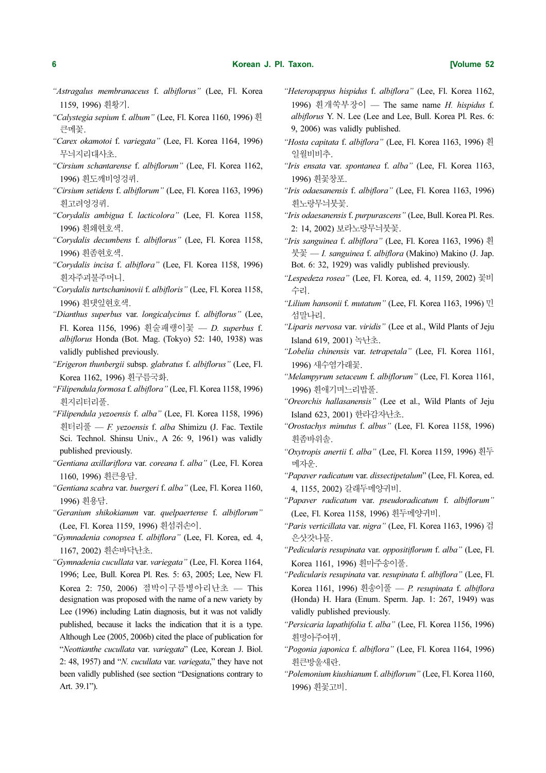- "Astragalus membranaceus f. albiflorus" (Lee, Fl. Korea 1159, 1996) 흰황기.
- "Calystegia sepium f. album" (Lee, Fl. Korea 1160, 1996) 흰 큰메꽃.
- "Carex okamotoi f. variegata" (Lee, Fl. Korea 1164, 1996) 무늬지리대사초.
- "Cirsium schantarense f. albiflorum" (Lee, Fl. Korea 1162, 1996) 흰도깨비엉겅퀴.
- "Cirsium setidens f. albiflorum" (Lee, Fl. Korea 1163, 1996) 흰고려엉겅퀴.
- "Corydalis ambigua f. lacticolora" (Lee, Fl. Korea 1158, 1996) 흰왜현호색.
- "Corydalis decumbens f. albiflorus" (Lee, Fl. Korea 1158, 1996) 흰좀현호색.
- "Corydalis incisa f. albiflora" (Lee, Fl. Korea 1158, 1996) 흰자주괴불주머니.
- "Corydalis turtschaninovii f. albifloris" (Lee, Fl. Korea 1158, 1996) 흰댓잎현호색.
- "Dianthus superbus var. longicalycinus f. albiflorus" (Lee, Fl. Korea 1156, 1996) 흰술패랭이꽃 — D. superbus f. albiflorus Honda (Bot. Mag. (Tokyo) 52: 140, 1938) was validly published previously.
- "Erigeron thunbergii subsp. glabratus f. albiflorus" (Lee, Fl. Korea 1162, 1996) 흰구름국화.
- "Filipendula formosa f. albiflora" (Lee, Fl. Korea 1158, 1996) 흰지리터리풀.
- "Filipendula yezoensis f. alba" (Lee, Fl. Korea 1158, 1996) 흰터리풀 — F. yezoensis f. alba Shimizu (J. Fac. Textile Sci. Technol. Shinsu Univ., A 26: 9, 1961) was validly published previously.
- "Gentiana axillariflora var. coreana f. alba" (Lee, Fl. Korea 1160, 1996) 흰큰용담.
- "Gentiana scabra var. buergeri f. alba" (Lee, Fl. Korea 1160, 1996) 흰용담.
- "Geranium shikokianum var. quelpaertense f. albiflorum" (Lee, Fl. Korea 1159, 1996) 흰섬쥐손이.
- "Gymnadenia conopsea f. albiflora" (Lee, Fl. Korea, ed. 4, 1167, 2002) 흰손바닥난초.
- "Gymnadenia cucullata var. variegata" (Lee, Fl. Korea 1164, 1996; Lee, Bull. Korea Pl. Res. 5: 63, 2005; Lee, New Fl. Korea 2: 750, 2006) 점박이구름병아리난초 — This designation was proposed with the name of a new variety by Lee (1996) including Latin diagnosis, but it was not validly published, because it lacks the indication that it is a type. Although Lee (2005, 2006b) cited the place of publication for "Neottianthe cucullata var. variegata" (Lee, Korean J. Biol. 2: 48, 1957) and "N. cucullata var. variegata," they have not been validly published (see section "Designations contrary to Art. 39.1").
- "Heteropappus hispidus f. albiflora" (Lee, Fl. Korea 1162, 1996) 흰개쑥부장이 — The same name H. hispidus f. albiflorus Y. N. Lee (Lee and Lee, Bull. Korea Pl. Res. 6: 9, 2006) was validly published.
- "Hosta capitata f. albiflora" (Lee, Fl. Korea 1163, 1996) 흰 일월비비추.
- "Iris ensata var. spontanea f. alba" (Lee, Fl. Korea 1163, 1996) 흰꽃창포.
- "Iris odaesanensis f. albiflora" (Lee, Fl. Korea 1163, 1996) 휘노랑무늬붓꽃.
- "Iris odaesanensis f. purpurascens" (Lee, Bull. Korea Pl. Res. 2: 14, 2002) 보라노랑무늬붓꽃.
- "Iris sanguinea f. albiflora" (Lee, Fl. Korea 1163, 1996) 흰 붓꽃 — I. sanguinea f. albiflora (Makino) Makino (J. Jap. Bot. 6: 32, 1929) was validly published previously.
- "Lespedeza rosea" (Lee, Fl. Korea, ed. 4, 1159, 2002) 꽃비 수리.
- "Lilium hansonii f. mutatum" (Lee, Fl. Korea 1163, 1996) 민 섬말나리.
- "Liparis nervosa var. viridis" (Lee et al., Wild Plants of Jeju Island 619, 2001) 녹난초.
- "Lobelia chinensis var. tetrapetala" (Lee, Fl. Korea 1161, 1996) 새수염가래꽃.
- "Melampyrum setaceum f. albiflorum" (Lee, Fl. Korea 1161, 1996) 흰애기며느리밥풀.
- "Oreorchis hallasanensis" (Lee et al., Wild Plants of Jeju Island 623, 2001) 한라감자난초.
- "Orostachys minutus f. albus" (Lee, Fl. Korea 1158, 1996) 휘좀바위솔.
- "Oxytropis anertii f. alba" (Lee, Fl. Korea 1159, 1996) 흰두 메자운.
- "Papaver radicatum var. dissectipetalum" (Lee, Fl. Korea, ed. 4, 1155, 2002) 갈래두메양귀비.
- "Papaver radicatum var. pseudoradicatum f. albiflorum" (Lee, Fl. Korea 1158, 1996) 흰두메양귀비.
- "Paris verticillata var. nigra" (Lee, Fl. Korea 1163, 1996) 검 은삿갓나물.
- "Pedicularis resupinata var. oppositiflorum f. alba" (Lee, Fl. Korea 1161, 1996) 흰마주송이풀.
- "Pedicularis resupinata var. resupinata f. albiflora" (Lee, Fl. Korea 1161, 1996) 흰송이풀 — P. resupinata f. albiflora (Honda) H. Hara (Enum. Sperm. Jap. 1: 267, 1949) was validly published previously.
- "Persicaria lapathifolia f. alba" (Lee, Fl. Korea 1156, 1996) 흰명아주여뀌.
- "Pogonia japonica f. albiflora" (Lee, Fl. Korea 1164, 1996) 흰큰방울새란.
- "Polemonium kiushianum f. albiflorum" (Lee, Fl. Korea 1160, 1996) 흰꽃고비.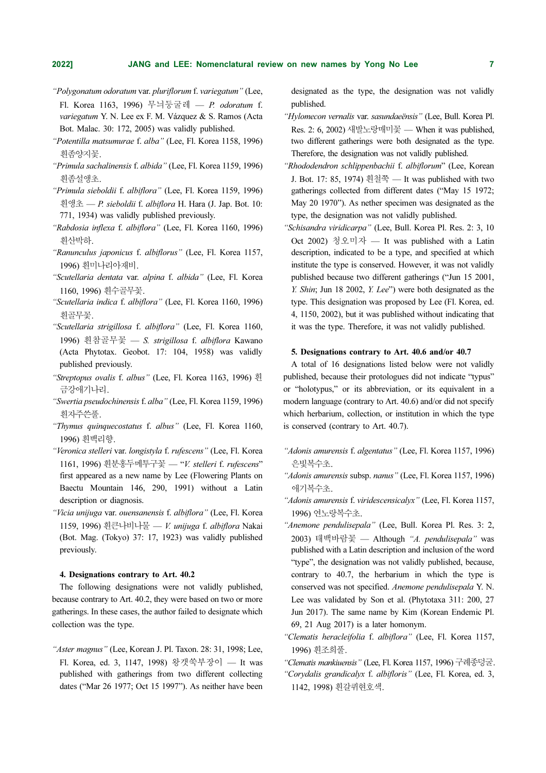- "Polygonatum odoratum var. pluriflorum f. variegatum" (Lee, Fl. Korea 1163, 1996) 무늬둥굴레 — P. odoratum f. variegatum Y. N. Lee ex F. M. Vázquez & S. Ramos (Acta Bot. Malac. 30: 172, 2005) was validly published.
- "Potentilla matsumurae f. alba" (Lee, Fl. Korea 1158, 1996) 흰좀양지꽃.
- "Primula sachalinensis f. albida" (Lee, Fl. Korea 1159, 1996) 흰좀설앵초.
- "Primula sieboldii f. albiflora" (Lee, Fl. Korea 1159, 1996) 흰앵초 — P. sieboldii f. albiflora H. Hara (J. Jap. Bot. 10: 771, 1934) was validly published previously.
- "Rabdosia inflexa f. albiflora" (Lee, Fl. Korea 1160, 1996) 흰산박하.
- "Ranunculus japonicus f. albiflorus" (Lee, Fl. Korea 1157, 1996) 흰미나리아재비.
- "Scutellaria dentata var. alpina f. albida" (Lee, Fl. Korea 1160, 1996) 흰수골무꽃.
- "Scutellaria indica f. albiflora" (Lee, Fl. Korea 1160, 1996) 흰골무꽃.
- "Scutellaria strigillosa f. albiflora" (Lee, Fl. Korea 1160, 1996) 흰참골무꽃 — S. strigillosa f. albiflora Kawano (Acta Phytotax. Geobot. 17: 104, 1958) was validly published previously.
- "Streptopus ovalis f. albus" (Lee, Fl. Korea 1163, 1996) 흰 금강애기나리.
- "Swertia pseudochinensis f. alba" (Lee, Fl. Korea 1159, 1996) 흰자주쓴풀.
- "Thymus quinquecostatus f. albus" (Lee, Fl. Korea 1160, 1996) 흰백리향.
- "Veronica stelleri var. longistyla f. rufescens" (Lee, Fl. Korea 1161, 1996) 흰분홍두메투구꽃 — "V. stelleri f. rufescens" first appeared as a new name by Lee (Flowering Plants on Baectu Mountain 146, 290, 1991) without a Latin description or diagnosis.
- "Vicia unijuga var. ouensanensis f. albiflora" (Lee, Fl. Korea 1159, 1996) 흰큰나비나물 — V. unijuga f. albiflora Nakai (Bot. Mag. (Tokyo) 37: 17, 1923) was validly published previously.

#### 4. Designations contrary to Art. 40.2

The following designations were not validly published, because contrary to Art. 40.2, they were based on two or more gatherings. In these cases, the author failed to designate which collection was the type.

"Aster magnus" (Lee, Korean J. Pl. Taxon. 28: 31, 1998; Lee, Fl. Korea, ed. 3, 1147, 1998) 왕갯쑥부장이 — It was published with gatherings from two different collecting dates ("Mar 26 1977; Oct 15 1997"). As neither have been designated as the type, the designation was not validly published.

- "Hylomecon vernalis var. sasundaeënsis" (Lee, Bull. Korea Pl. Res. 2: 6, 2002) 새발노랑매미꽃 — When it was published, two different gatherings were both designated as the type. Therefore, the designation was not validly published.
- "Rhododendron schlippenbachii f. albiflorum" (Lee, Korean J. Bot. 17: 85, 1974) 흰철쭉 — It was published with two gatherings collected from different dates ("May 15 1972; May 20 1970"). As nether specimen was designated as the type, the designation was not validly published.
- "Schisandra viridicarpa" (Lee, Bull. Korea Pl. Res. 2: 3, 10 Oct 2002) 청오미자 — It was published with a Latin description, indicated to be a type, and specified at which institute the type is conserved. However, it was not validly published because two different gatherings ("Jun 15 2001, Y. Shin; Jun 18 2002, Y. Lee") were both designated as the type. This designation was proposed by Lee (Fl. Korea, ed. 4, 1150, 2002), but it was published without indicating that it was the type. Therefore, it was not validly published.

#### 5. Designations contrary to Art. 40.6 and/or 40.7

A total of 16 designations listed below were not validly published, because their protologues did not indicate "typus" or "holotypus," or its abbreviation, or its equivalent in a modern language (contrary to Art. 40.6) and/or did not specify which herbarium, collection, or institution in which the type is conserved (contrary to Art. 40.7).

- "Adonis amurensis f. algentatus" (Lee, Fl. Korea 1157, 1996) 은빛복수초.
- "Adonis amurensis subsp. nanus" (Lee, Fl. Korea 1157, 1996) 애기복수초.
- "Adonis amurensis f. viridescensicalyx" (Lee, Fl. Korea 1157, 1996) 연노랑복수초.
- "Anemone pendulisepala" (Lee, Bull. Korea Pl. Res. 3: 2, 2003) 태백바람꽃 — Although "A. pendulisepala" was published with a Latin description and inclusion of the word "type", the designation was not validly published, because, contrary to 40.7, the herbarium in which the type is conserved was not specified. Anemone pendulisepala Y. N. Lee was validated by Son et al. (Phytotaxa 311: 200, 27 Jun 2017). The same name by Kim (Korean Endemic Pl. 69, 21 Aug 2017) is a later homonym.
- "Clematis heracleifolia f. albiflora" (Lee, Fl. Korea 1157, 1996) 흰조희풀.
- "Clematis mankiuensis" (Lee, Fl. Korea 1157, 1996) 구례종덩굴.
- "Corydalis grandicalyx f. albifloris" (Lee, Fl. Korea, ed. 3, 1142, 1998) 흰갈퀴현호색.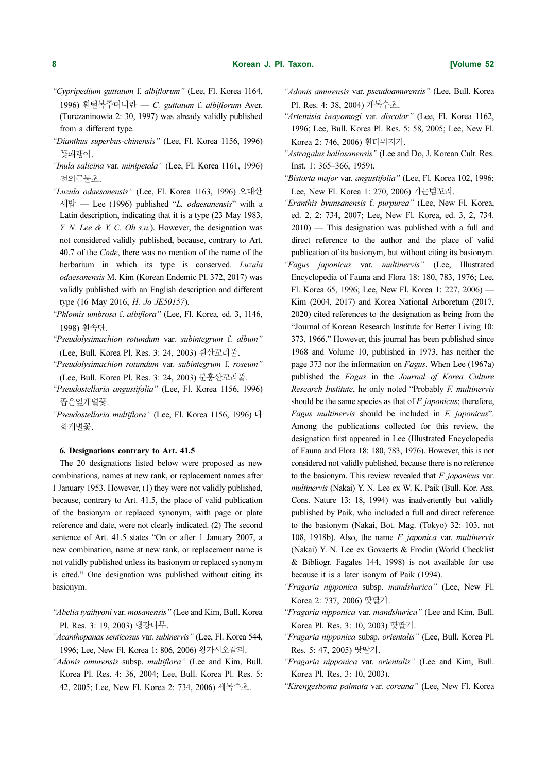- "Cypripedium guttatum f. albiflorum" (Lee, Fl. Korea 1164, 1996) 흰털복주머니란 — C. guttatum f. albiflorum Aver. (Turczaninowia 2: 30, 1997) was already validly published from a different type.
- "Dianthus superbus-chinensis" (Lee, Fl. Korea 1156, 1996) 꽃패랭이.
- "Inula salicina var. minipetala" (Lee, Fl. Korea 1161, 1996) 전의금불초.
- "Luzula odaesanensis" (Lee, Fl. Korea 1163, 1996) 오대산 새밥 — Lee (1996) published "L. *odaesanensis*" with a Latin description, indicating that it is a type (23 May 1983, Y. N. Lee & Y. C. Oh s.n.). However, the designation was not considered validly published, because, contrary to Art. 40.7 of the *Code*, there was no mention of the name of the herbarium in which its type is conserved. Luzula odaesanensis M. Kim (Korean Endemic Pl. 372, 2017) was validly published with an English description and different type (16 May 2016, H. Jo JE50157).
- "Phlomis umbrosa f. albiflora" (Lee, Fl. Korea, ed. 3, 1146, 1998) 흰속단.
- "Pseudolysimachion rotundum var. subintegrum f. album" (Lee, Bull. Korea Pl. Res. 3: 24, 2003) 흰산꼬리풀.
- "Pseudolysimachion rotundum var. subintegrum f. roseum" (Lee, Bull. Korea Pl. Res. 3: 24, 2003) 분홍산꼬리풀.
- "Pseudostellaria angustifolia" (Lee, Fl. Korea 1156, 1996) 좁은잎개별꽃.
- "Pseudostellaria multiflora" (Lee, Fl. Korea 1156, 1996) 다 화개별꽃.

#### 6. Designations contrary to Art. 41.5

The 20 designations listed below were proposed as new combinations, names at new rank, or replacement names after 1 January 1953. However, (1) they were not validly published, because, contrary to Art. 41.5, the place of valid publication of the basionym or replaced synonym, with page or plate reference and date, were not clearly indicated. (2) The second sentence of Art. 41.5 states "On or after 1 January 2007, a new combination, name at new rank, or replacement name is not validly published unless its basionym or replaced synonym is cited." One designation was published without citing its basionym.

- "Abelia tyaihyoni var. mosanensis" (Lee and Kim, Bull. Korea Pl. Res. 3: 19, 2003) 댕강나무.
- "Acanthopanax senticosus var. subinervis" (Lee, Fl. Korea 544, 1996; Lee, New Fl. Korea 1: 806, 2006) 왕가시오갈피.
- "Adonis amurensis subsp. multiflora" (Lee and Kim, Bull. Korea Pl. Res. 4: 36, 2004; Lee, Bull. Korea Pl. Res. 5: 42, 2005; Lee, New Fl. Korea 2: 734, 2006) 세복수초.
- "Adonis amurensis var. pseudoamurensis" (Lee, Bull. Korea Pl. Res. 4: 38, 2004) 개복수초.
- "Artemisia iwayomogi var. discolor" (Lee, Fl. Korea 1162, 1996; Lee, Bull. Korea Pl. Res. 5: 58, 2005; Lee, New Fl. Korea 2: 746, 2006) 흰더위지기.
- "Astragalus hallasanensis" (Lee and Do, J. Korean Cult. Res. Inst. 1: 365–366, 1959).
- "Bistorta major var. angustifolia" (Lee, Fl. Korea 102, 1996; Lee, New Fl. Korea 1: 270, 2006) 가는범꼬리.
- "Eranthis byunsanensis f. purpurea" (Lee, New Fl. Korea, ed. 2, 2: 734, 2007; Lee, New Fl. Korea, ed. 3, 2, 734. 2010) — This designation was published with a full and direct reference to the author and the place of valid publication of its basionym, but without citing its basionym.
- "Fagus japonicus var. multinervis" (Lee, Illustrated Encyclopedia of Fauna and Flora 18: 180, 783, 1976; Lee, Fl. Korea 65, 1996; Lee, New Fl. Korea 1: 227, 2006) — Kim (2004, 2017) and Korea National Arboretum (2017, 2020) cited references to the designation as being from the "Journal of Korean Research Institute for Better Living 10: 373, 1966." However, this journal has been published since 1968 and Volume 10, published in 1973, has neither the page 373 nor the information on Fagus. When Lee (1967a) published the Fagus in the Journal of Korea Culture Research Institute, he only noted "Probably F. multinervis should be the same species as that of  $F$ . *japonicus*; therefore, Fagus multinervis should be included in F. japonicus". Among the publications collected for this review, the designation first appeared in Lee (Illustrated Encyclopedia of Fauna and Flora 18: 180, 783, 1976). However, this is not considered not validly published, because there is no reference to the basionym. This review revealed that  $F$ . japonicus var. multinervis (Nakai) Y. N. Lee ex W. K. Paik (Bull. Kor. Ass. Cons. Nature 13: 18, 1994) was inadvertently but validly published by Paik, who included a full and direct reference to the basionym (Nakai, Bot. Mag. (Tokyo) 32: 103, not 108, 1918b). Also, the name F. japonica var. multinervis (Nakai) Y. N. Lee ex Govaerts & Frodin (World Checklist & Bibliogr. Fagales 144, 1998) is not available for use because it is a later isonym of Paik (1994).
- "Fragaria nipponica subsp. mandshurica" (Lee, New Fl. Korea 2: 737, 2006) 땃딸기.
- "Fragaria nipponica var. mandshurica" (Lee and Kim, Bull. Korea Pl. Res. 3: 10, 2003) 땃딸기.
- "Fragaria nipponica subsp. orientalis" (Lee, Bull. Korea Pl. Res. 5: 47, 2005) 땃딸기.
- "Fragaria nipponica var. orientalis" (Lee and Kim, Bull. Korea Pl. Res. 3: 10, 2003).
- "Kirengeshoma palmata var. coreana" (Lee, New Fl. Korea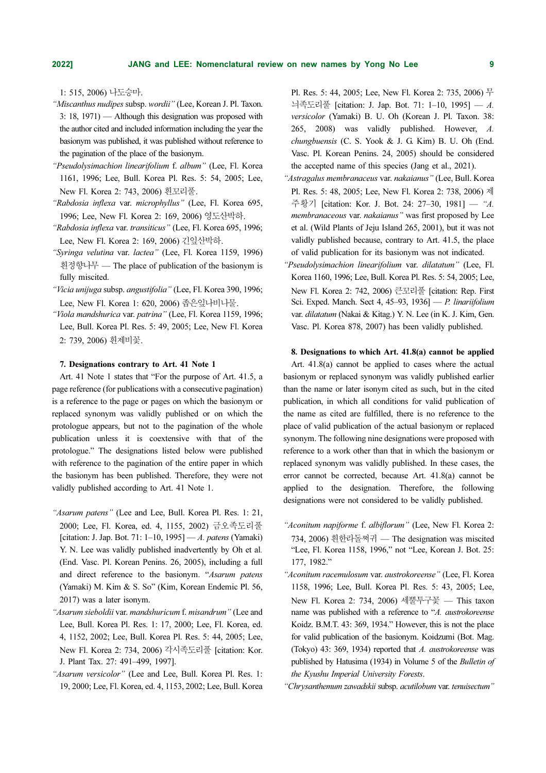1: 515, 2006) 나도승마.

- "Miscanthus nudipes subsp. wordii" (Lee, Korean J. Pl. Taxon. 3: 18, 1971) — Although this designation was proposed with the author cited and included information including the year the basionym was published, it was published without reference to the pagination of the place of the basionym.
- "Pseudolysimachion linearifolium f. album" (Lee, Fl. Korea 1161, 1996; Lee, Bull. Korea Pl. Res. 5: 54, 2005; Lee, New Fl. Korea 2: 743, 2006) 흰꼬리풀.
- "Rabdosia inflexa var. microphyllus" (Lee, Fl. Korea 695, 1996; Lee, New Fl. Korea 2: 169, 2006) 영도산박하.
- "Rabdosia inflexa var. transiticus" (Lee, Fl. Korea 695, 1996; Lee, New Fl. Korea 2: 169, 2006) 긴잎산박하.
- "Syringa velutina var. lactea" (Lee, Fl. Korea 1159, 1996) 흰정향나무 — The place of publication of the basionym is fully miscited.
- "Vicia unijuga subsp. angustifolia" (Lee, Fl. Korea 390, 1996; Lee, New Fl. Korea 1: 620, 2006) 좁은잎나비나물.
- "Viola mandshurica var. patrina" (Lee, Fl. Korea 1159, 1996; Lee, Bull. Korea Pl. Res. 5: 49, 2005; Lee, New Fl. Korea 2: 739, 2006) 흰제비꽃.

#### 7. Designations contrary to Art. 41 Note 1

Art. 41 Note 1 states that "For the purpose of Art. 41.5, a page reference (for publications with a consecutive pagination) is a reference to the page or pages on which the basionym or replaced synonym was validly published or on which the protologue appears, but not to the pagination of the whole publication unless it is coextensive with that of the protologue." The designations listed below were published with reference to the pagination of the entire paper in which the basionym has been published. Therefore, they were not validly published according to Art. 41 Note 1.

- "Asarum patens" (Lee and Lee, Bull. Korea Pl. Res. 1: 21, 2000; Lee, Fl. Korea, ed. 4, 1155, 2002) 금오족도리풀 [citation: J. Jap. Bot. 71:  $1-10$ , 1995] — A. patens (Yamaki) Y. N. Lee was validly published inadvertently by Oh et al. (End. Vasc. Pl. Korean Penins. 26, 2005), including a full and direct reference to the basionym. "Asarum patens (Yamaki) M. Kim & S. So" (Kim, Korean Endemic Pl. 56, 2017) was a later isonym.
- "Asarum sieboldii var. mandshuricum f. misandrum" (Lee and Lee, Bull. Korea Pl. Res. 1: 17, 2000; Lee, Fl. Korea, ed. 4, 1152, 2002; Lee, Bull. Korea Pl. Res. 5: 44, 2005; Lee, New Fl. Korea 2: 734, 2006) 각시족도리풀 [citation: Kor. J. Plant Tax. 27: 491–499, 1997].
- "Asarum versicolor" (Lee and Lee, Bull. Korea Pl. Res. 1: 19, 2000; Lee, Fl. Korea, ed. 4, 1153, 2002; Lee, Bull. Korea

Pl. Res. 5: 44, 2005; Lee, New Fl. Korea 2: 735, 2006) 무 늬족도리풀 [citation: J. Jap. Bot. 71: 1–10, 1995] — A. versicolor (Yamaki) B. U. Oh (Korean J. Pl. Taxon. 38: 265, 2008) was validly published. However, A. chungbuensis (C. S. Yook & J. G. Kim) B. U. Oh (End. Vasc. Pl. Korean Penins. 24, 2005) should be considered the accepted name of this species (Jang et al., 2021).

- "Astragalus membranaceus var. nakaianus" (Lee, Bull. Korea Pl. Res. 5: 48, 2005; Lee, New Fl. Korea 2: 738, 2006) 제 주황기 [citation: Kor. J. Bot. 24: 27–30, 1981] — "A. membranaceous var. nakaianus" was first proposed by Lee et al. (Wild Plants of Jeju Island 265, 2001), but it was not validly published because, contrary to Art. 41.5, the place of valid publication for its basionym was not indicated.
- "Pseudolysimachion linearifolium var. dilatatum" (Lee, Fl. Korea 1160, 1996; Lee, Bull. Korea Pl. Res. 5: 54, 2005; Lee, New Fl. Korea 2: 742, 2006) 큰꼬리풀 [citation: Rep. First Sci. Exped. Manch. Sect 4, 45–93, 1936] — P. linariifolium var. dilatatum (Nakai & Kitag.) Y. N. Lee (in K. J. Kim, Gen. Vasc. Pl. Korea 878, 2007) has been validly published.

#### 8. Designations to which Art. 41.8(a) cannot be applied

Art. 41.8(a) cannot be applied to cases where the actual basionym or replaced synonym was validly published earlier than the name or later isonym cited as such, but in the cited publication, in which all conditions for valid publication of the name as cited are fulfilled, there is no reference to the place of valid publication of the actual basionym or replaced synonym. The following nine designations were proposed with reference to a work other than that in which the basionym or replaced synonym was validly published. In these cases, the error cannot be corrected, because Art. 41.8(a) cannot be applied to the designation. Therefore, the following designations were not considered to be validly published.

- "Aconitum napiforme f. albiflorum" (Lee, New Fl. Korea 2: 734, 2006) 흰한라돌쩌귀 — The designation was miscited "Lee, Fl. Korea 1158, 1996," not "Lee, Korean J. Bot. 25: 177, 1982."
- "Aconitum racemulosum var. austrokoreense" (Lee, Fl. Korea 1158, 1996; Lee, Bull. Korea Pl. Res. 5: 43, 2005; Lee, New Fl. Korea 2: 734, 2006) 세뿔투구꽃 — This taxon name was published with a reference to "A. austrokoreense Koidz. B.M.T. 43: 369, 1934." However, this is not the place for valid publication of the basionym. Koidzumi (Bot. Mag. (Tokyo) 43: 369, 1934) reported that A. austrokoreense was published by Hatusima (1934) in Volume 5 of the Bulletin of the Kyushu Imperial University Forests.
- "Chrysanthemum zawadskii subsp. acutilobum var. tenuisectum"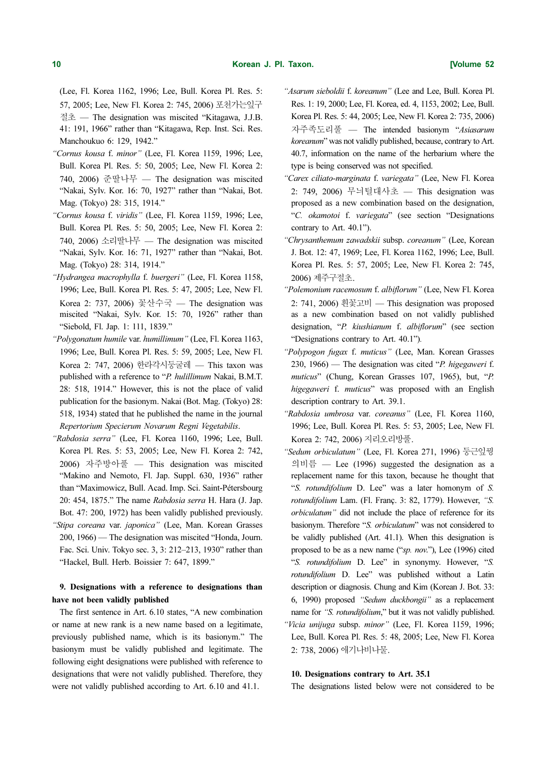(Lee, Fl. Korea 1162, 1996; Lee, Bull. Korea Pl. Res. 5: 57, 2005; Lee, New Fl. Korea 2: 745, 2006) 포천가는잎구 절초 — The designation was miscited "Kitagawa, J.J.B. 41: 191, 1966" rather than "Kitagawa, Rep. Inst. Sci. Res. Manchoukuo 6: 129, 1942."

- "Cornus kousa f. minor" (Lee, Fl. Korea 1159, 1996; Lee, Bull. Korea Pl. Res. 5: 50, 2005; Lee, New Fl. Korea 2: 740, 2006) 준딸나무 — The designation was miscited "Nakai, Sylv. Kor. 16: 70, 1927" rather than "Nakai, Bot. Mag. (Tokyo) 28: 315, 1914."
- "Cornus kousa f. viridis" (Lee, Fl. Korea 1159, 1996; Lee, Bull. Korea Pl. Res. 5: 50, 2005; Lee, New Fl. Korea 2: 740, 2006) 소리딸나무 — The designation was miscited "Nakai, Sylv. Kor. 16: 71, 1927" rather than "Nakai, Bot. Mag. (Tokyo) 28: 314, 1914."
- "Hydrangea macrophylla f. buergeri" (Lee, Fl. Korea 1158, 1996; Lee, Bull. Korea Pl. Res. 5: 47, 2005; Lee, New Fl. Korea 2: 737, 2006) 꽃산수국 — The designation was miscited "Nakai, Sylv. Kor. 15: 70, 1926" rather than "Siebold, Fl. Jap. 1: 111, 1839."
- "Polygonatum humile var. humillimum" (Lee, Fl. Korea 1163, 1996; Lee, Bull. Korea Pl. Res. 5: 59, 2005; Lee, New Fl. Korea 2: 747, 2006) 한라각시둥굴레 — This taxon was published with a reference to "P. hulillimum Nakai, B.M.T. 28: 518, 1914." However, this is not the place of valid publication for the basionym. Nakai (Bot. Mag. (Tokyo) 28: 518, 1934) stated that he published the name in the journal Repertorium Specierum Novarum Regni Vegetabilis.
- "Rabdosia serra" (Lee, Fl. Korea 1160, 1996; Lee, Bull. Korea Pl. Res. 5: 53, 2005; Lee, New Fl. Korea 2: 742, 2006) 자주방아풀 — This designation was miscited "Makino and Nemoto, Fl. Jap. Suppl. 630, 1936" rather than "Maximowicz, Bull. Acad. Imp. Sci. Saint-Pétersbourg 20: 454, 1875." The name Rabdosia serra H. Hara (J. Jap. Bot. 47: 200, 1972) has been validly published previously. "Stipa coreana var. japonica" (Lee, Man. Korean Grasses
- 200, 1966) The designation was miscited "Honda, Journ. Fac. Sci. Univ. Tokyo sec. 3, 3: 212–213, 1930" rather than "Hackel, Bull. Herb. Boissier 7: 647, 1899."

# 9. Designations with a reference to designations than have not been validly published

The first sentence in Art. 6.10 states, "A new combination or name at new rank is a new name based on a legitimate, previously published name, which is its basionym." The basionym must be validly published and legitimate. The following eight designations were published with reference to designations that were not validly published. Therefore, they were not validly published according to Art. 6.10 and 41.1.

- "Asarum sieboldii f. koreanum" (Lee and Lee, Bull. Korea Pl. Res. 1: 19, 2000; Lee, Fl. Korea, ed. 4, 1153, 2002; Lee, Bull. Korea Pl. Res. 5: 44, 2005; Lee, New Fl. Korea 2: 735, 2006) 자주족도리풀 — The intended basionym "Asiasarum koreanum" was not validly published, because, contrary to Art. 40.7, information on the name of the herbarium where the type is being conserved was not specified.
- "Carex ciliato-marginata f. variegata" (Lee, New Fl. Korea 2: 749, 2006) 무늬털대사초 — This designation was proposed as a new combination based on the designation, "C. okamotoi f. variegata" (see section "Designations contrary to Art. 40.1").
- "Chrysanthemum zawadskii subsp. coreanum" (Lee, Korean J. Bot. 12: 47, 1969; Lee, Fl. Korea 1162, 1996; Lee, Bull. Korea Pl. Res. 5: 57, 2005; Lee, New Fl. Korea 2: 745, 2006) 제주구절초.
- "Polemonium racemosum f. albiflorum" (Lee, New Fl. Korea 2: 741, 2006) 흰꽃고비 — This designation was proposed as a new combination based on not validly published designation, "P. kiushianum f. albiflorum" (see section "Designations contrary to Art. 40.1").
- "Polypogon fugax f. muticus" (Lee, Man. Korean Grasses 230, 1966) — The designation was cited "P. higegaweri f. muticus" (Chung, Korean Grasses 107, 1965), but, "P. higegaweri f. muticus" was proposed with an English description contrary to Art. 39.1.
- "Rabdosia umbrosa var. coreanus" (Lee, Fl. Korea 1160, 1996; Lee, Bull. Korea Pl. Res. 5: 53, 2005; Lee, New Fl. Korea 2: 742, 2006) 지리오리방풀.
- "Sedum orbiculatum" (Lee, Fl. Korea 271, 1996) 둥근잎꿩 의비름 — Lee (1996) suggested the designation as a replacement name for this taxon, because he thought that "S. rotundifolium D. Lee" was a later homonym of S. rotundifolium Lam. (Fl. Franç. 3: 82, 1779). However, "S. orbiculatum" did not include the place of reference for its basionym. Therefore "S. orbiculatum" was not considered to be validly published (Art. 41.1). When this designation is proposed to be as a new name ("sp. nov."), Lee (1996) cited "S. rotundifolium D. Lee" in synonymy. However, "S. rotundifolium D. Lee" was published without a Latin description or diagnosis. Chung and Kim (Korean J. Bot. 33: 6, 1990) proposed "Sedum duckbongii" as a replacement name for "S. rotundifolium," but it was not validly published. "Vicia unijuga subsp. minor" (Lee, Fl. Korea 1159, 1996; Lee, Bull. Korea Pl. Res. 5: 48, 2005; Lee, New Fl. Korea 2: 738, 2006) 애기나비나물.

#### 10. Designations contrary to Art. 35.1

The designations listed below were not considered to be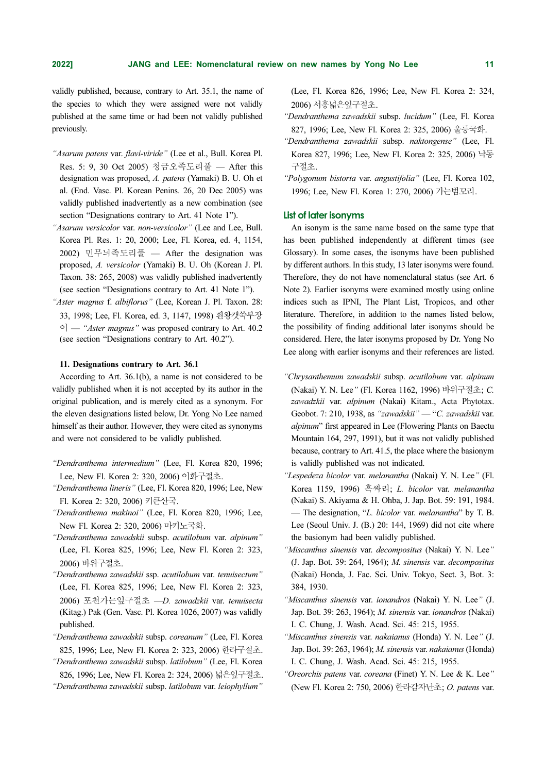validly published, because, contrary to Art. 35.1, the name of the species to which they were assigned were not validly published at the same time or had been not validly published previously.

- "Asarum patens var. flavi-viride" (Lee et al., Bull. Korea Pl. Res. 5: 9, 30 Oct 2005) 청금오족도리풀 — After this designation was proposed, A. patens (Yamaki) B. U. Oh et al. (End. Vasc. Pl. Korean Penins. 26, 20 Dec 2005) was validly published inadvertently as a new combination (see section "Designations contrary to Art. 41 Note 1").
- "Asarum versicolor var. non-versicolor" (Lee and Lee, Bull. Korea Pl. Res. 1: 20, 2000; Lee, Fl. Korea, ed. 4, 1154, 2002) 민무늬족도리풀 — After the designation was proposed, A. versicolor (Yamaki) B. U. Oh (Korean J. Pl. Taxon. 38: 265, 2008) was validly published inadvertently (see section "Designations contrary to Art. 41 Note 1").
- "Aster magnus f. albiflorus" (Lee, Korean J. Pl. Taxon. 28: 33, 1998; Lee, Fl. Korea, ed. 3, 1147, 1998) 흰왕갯쑥부장  $\circ$ ] — "*Aster magnus*" was proposed contrary to Art. 40.2 (see section "Designations contrary to Art. 40.2").

#### 11. Designations contrary to Art. 36.1

According to Art. 36.1(b), a name is not considered to be validly published when it is not accepted by its author in the original publication, and is merely cited as a synonym. For the eleven designations listed below, Dr. Yong No Lee named himself as their author. However, they were cited as synonyms and were not considered to be validly published.

- "Dendranthema intermedium" (Lee, Fl. Korea 820, 1996; Lee, New Fl. Korea 2: 320, 2006) 이화구절초.
- "Dendranthema lineris" (Lee, Fl. Korea 820, 1996; Lee, New Fl. Korea 2: 320, 2006) 키큰산국.
- "Dendranthema makinoi" (Lee, Fl. Korea 820, 1996; Lee, New Fl. Korea 2: 320, 2006) 마키노국화.
- "Dendranthema zawadskii subsp. acutilobum var. alpinum" (Lee, Fl. Korea 825, 1996; Lee, New Fl. Korea 2: 323, 2006) 바위구절초.
- "Dendranthema zawadskii ssp. acutilobum var. tenuisectum" (Lee, Fl. Korea 825, 1996; Lee, New Fl. Korea 2: 323, 2006) 포천가는잎구절초 —D. zawadzkii var. tenuisecta (Kitag.) Pak (Gen. Vasc. Pl. Korea 1026, 2007) was validly published.
- "Dendranthema zawadskii subsp. coreanum" (Lee, Fl. Korea 825, 1996; Lee, New Fl. Korea 2: 323, 2006) 한라구절초.

"Dendranthema zawadskii subsp. latilobum" (Lee, Fl. Korea 826, 1996; Lee, New Fl. Korea 2: 324, 2006) 넓은잎구절초. "Dendranthema zawadskii subsp. latilobum var. leiophyllum"

(Lee, Fl. Korea 826, 1996; Lee, New Fl. Korea 2: 324, 2006) 서흥넓은잎구절초.

- "Dendranthema zawadskii subsp. lucidum" (Lee, Fl. Korea 827, 1996; Lee, New Fl. Korea 2: 325, 2006) 울릉국화.
- "Dendranthema zawadskii subsp. naktongense" (Lee, Fl. Korea 827, 1996; Lee, New Fl. Korea 2: 325, 2006) 낙동 구절초.
- "Polygonum bistorta var. angustifolia" (Lee, Fl. Korea 102, 1996; Lee, New Fl. Korea 1: 270, 2006) 가는범꼬리.

# List of later isonyms

An isonym is the same name based on the same type that has been published independently at different times (see Glossary). In some cases, the isonyms have been published by different authors. In this study, 13 later isonyms were found. Therefore, they do not have nomenclatural status (see Art. 6 Note 2). Earlier isonyms were examined mostly using online indices such as IPNI, The Plant List, Tropicos, and other literature. Therefore, in addition to the names listed below, the possibility of finding additional later isonyms should be considered. Here, the later isonyms proposed by Dr. Yong No Lee along with earlier isonyms and their references are listed.

- "Chrysanthemum zawadskii subsp. acutilobum var. alpinum (Nakai) Y. N. Lee" (Fl. Korea 1162, 1996) 바위구절초; C. zawadzkii var. alpinum (Nakai) Kitam., Acta Phytotax. Geobot. 7: 210, 1938, as "zawadskii" — "C. zawadskii var. alpinum" first appeared in Lee (Flowering Plants on Baectu Mountain 164, 297, 1991), but it was not validly published because, contrary to Art. 41.5, the place where the basionym is validly published was not indicated.
- "Lespedeza bicolor var. melanantha (Nakai) Y. N. Lee" (Fl. Korea 1159, 1996) 흑싸리; L. bicolor var. melanantha (Nakai) S. Akiyama & H. Ohba, J. Jap. Bot. 59: 191, 1984. — The designation, "*L. bicolor var. melanantha*" by T. B. Lee (Seoul Univ. J. (B.) 20: 144, 1969) did not cite where the basionym had been validly published.
- "Miscanthus sinensis var. decompositus (Nakai) Y. N. Lee" (J. Jap. Bot. 39: 264, 1964); M. sinensis var. decompositus (Nakai) Honda, J. Fac. Sci. Univ. Tokyo, Sect. 3, Bot. 3: 384, 1930.
- "Miscanthus sinensis var. ionandros (Nakai) Y. N. Lee" (J. Jap. Bot. 39: 263, 1964); M. sinensis var. ionandros (Nakai) I. C. Chung, J. Wash. Acad. Sci. 45: 215, 1955.
- "Miscanthus sinensis var. nakaianus (Honda) Y. N. Lee" (J. Jap. Bot. 39: 263, 1964); M. sinensis var. nakaianus (Honda) I. C. Chung, J. Wash. Acad. Sci. 45: 215, 1955.
- "Oreorchis patens var. coreana (Finet) Y. N. Lee & K. Lee" (New Fl. Korea 2: 750, 2006) 한라감자난초; O. patens var.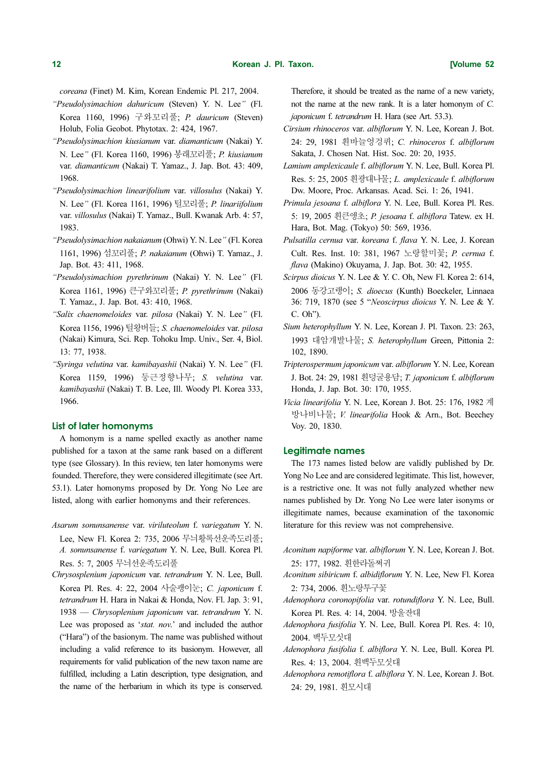coreana (Finet) M. Kim, Korean Endemic Pl. 217, 2004.

"Pseudolysimachion dahuricum (Steven) Y. N. Lee" (Fl. Korea 1160, 1996) 구와꼬리풀; P. dauricum (Steven) Holub, Folia Geobot. Phytotax. 2: 424, 1967.

- "Pseudolysimachion kiusianum var. diamanticum (Nakai) Y. N. Lee" (Fl. Korea 1160, 1996) 봉래꼬리풀; P. kiusianum var. diamanticum (Nakai) T. Yamaz., J. Jap. Bot. 43: 409, 1968.
- "Pseudolysimachion linearifolium var. villosulus (Nakai) Y. N. Lee" (Fl. Korea 1161, 1996) 털꼬리풀; P. linariifolium var. villosulus (Nakai) T. Yamaz., Bull. Kwanak Arb. 4: 57, 1983.
- "Pseudolysimachion nakaianum (Ohwi) Y. N. Lee" (Fl. Korea 1161, 1996) 섬꼬리풀; P. nakaianum (Ohwi) T. Yamaz., J. Jap. Bot. 43: 411, 1968.
- "Pseudolysimachion pyrethrinum (Nakai) Y. N. Lee" (Fl. Korea 1161, 1996) 큰구와꼬리풀; P. pyrethrinum (Nakai) T. Yamaz., J. Jap. Bot. 43: 410, 1968.
- "Salix chaenomeloides var. pilosa (Nakai) Y. N. Lee" (Fl. Korea 1156, 1996) 털왕버들; S. chaenomeloides var. pilosa (Nakai) Kimura, Sci. Rep. Tohoku Imp. Univ., Ser. 4, Biol. 13: 77, 1938.
- "Syringa velutina var. kamibayashii (Nakai) Y. N. Lee" (Fl. Korea 1159, 1996) 둥근정향나무; S. velutina var. kamibayashii (Nakai) T. B. Lee, Ill. Woody Pl. Korea 333, 1966.

# List of later homonyms

A homonym is a name spelled exactly as another name published for a taxon at the same rank based on a different type (see Glossary). In this review, ten later homonyms were founded. Therefore, they were considered illegitimate (see Art. 53.1). Later homonyms proposed by Dr. Yong No Lee are listed, along with earlier homonyms and their references.

- Asarum sonunsanense var. viriluteolum f. variegatum Y. N. Lee, New Fl. Korea 2: 735, 2006 무늬황록선운족도리풀; A. sonunsanense f. variegatum Y. N. Lee, Bull. Korea Pl. Res. 5: 7, 2005 무늬선운족도리풀
- Chrysosplenium japonicum var. tetrandrum Y. N. Lee, Bull. Korea Pl. Res. 4: 22, 2004 사술괭이눈; C. japonicum f. tetrandrum H. Hara in Nakai & Honda, Nov. Fl. Jap. 3: 91, 1938 — Chrysoplenium japonicum var. tetrandrum Y. N. Lee was proposed as 'stat. nov.' and included the author ("Hara") of the basionym. The name was published without including a valid reference to its basionym. However, all requirements for valid publication of the new taxon name are fulfilled, including a Latin description, type designation, and the name of the herbarium in which its type is conserved.

Therefore, it should be treated as the name of a new variety, not the name at the new rank. It is a later homonym of C. japonicum f. tetrandrum H. Hara (see Art. 53.3).

- Cirsium rhinoceros var. albiflorum Y. N. Lee, Korean J. Bot. 24: 29, 1981 흰바늘엉겅퀴; C. rhinoceros f. albiflorum Sakata, J. Chosen Nat. Hist. Soc. 20: 20, 1935.
- Lamium amplexicaule f. albiflorum Y. N. Lee, Bull. Korea Pl. Res. 5: 25, 2005 흰광대나물; L. amplexicaule f. albiflorum Dw. Moore, Proc. Arkansas. Acad. Sci. 1: 26, 1941.
- Primula jesoana f. albiflora Y. N. Lee, Bull. Korea Pl. Res. 5: 19, 2005 흰큰앵초; P. jesoana f. albiflora Tatew. ex H. Hara, Bot. Mag. (Tokyo) 50: 569, 1936.
- Pulsatilla cernua var. koreana f. flava Y. N. Lee, J. Korean Cult. Res. Inst. 10: 381, 1967 노랑할미꽃; P. cernua f. flava (Makino) Okuyama, J. Jap. Bot. 30: 42, 1955.
- Scirpus dioicus Y. N. Lee & Y. C. Oh, New Fl. Korea 2: 614, 2006 동강고랭이; S. dioecus (Kunth) Boeckeler, Linnaea 36: 719, 1870 (see 5 "Neoscirpus dioicus Y. N. Lee & Y. C. Oh").
- Sium heterophyllum Y. N. Lee, Korean J. Pl. Taxon. 23: 263, 1993 대암개발나물; S. heterophyllum Green, Pittonia 2: 102, 1890.
- Tripterospermum japonicum var. albiflorum Y. N. Lee, Korean J. Bot. 24: 29, 1981 흰덩굴용담; T. japonicum f. albiflorum Honda, J. Jap. Bot. 30: 170, 1955.
- Vicia linearifolia Y. N. Lee, Korean J. Bot. 25: 176, 1982 계 방나비나물; V. linearifolia Hook & Arn., Bot. Beechey Voy. 20, 1830.

#### Legitimate names

The 173 names listed below are validly published by Dr. Yong No Lee and are considered legitimate. This list, however, is a restrictive one. It was not fully analyzed whether new names published by Dr. Yong No Lee were later isonyms or illegitimate names, because examination of the taxonomic literature for this review was not comprehensive.

- Aconitum napiforme var. albiflorum Y. N. Lee, Korean J. Bot. 25: 177, 1982. 흰한라돌쩌귀
- Aconitum sibiricum f. albidiflorum Y. N. Lee, New Fl. Korea 2: 734, 2006. 흰노랑투구꽃
- Adenophora coronopifolia var. rotundiflora Y. N. Lee, Bull. Korea Pl. Res. 4: 14, 2004. 방울잔대
- Adenophora fusifolia Y. N. Lee, Bull. Korea Pl. Res. 4: 10, 2004. 백두모싯대
- Adenophora fusifolia f. albiflora Y. N. Lee, Bull. Korea Pl. Res. 4: 13, 2004. 흰백두모싯대
- Adenophora remotiflora f. albiflora Y. N. Lee, Korean J. Bot. 24: 29, 1981. 흰모시대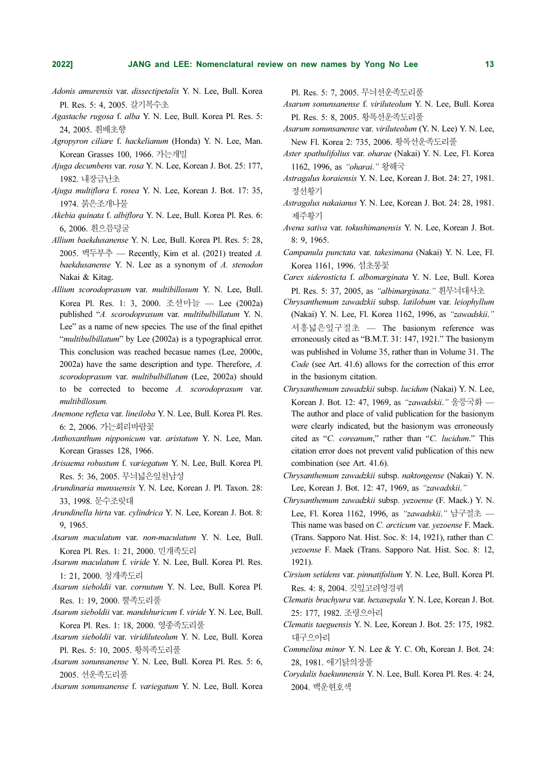- Adonis amurensis var. dissectipetalis Y. N. Lee, Bull. Korea Pl. Res. 5: 4, 2005. 갈기복수초
- Agastache rugosa f. alba Y. N. Lee, Bull. Korea Pl. Res. 5: 24, 2005. 흰배초향
- Agropyron ciliare f. hackelianum (Honda) Y. N. Lee, Man. Korean Grasses 100, 1966. 가는개밀
- Ajuga decumbens var. rosa Y. N. Lee, Korean J. Bot. 25: 177, 1982. 내장금난초
- Ajuga multiflora f. rosea Y. N. Lee, Korean J. Bot. 17: 35, 1974. 붉은조개나물
- Akebia quinata f. albiflora Y. N. Lee, Bull. Korea Pl. Res. 6: 6, 2006. 흰으름덩굴
- Allium baekdusanense Y. N. Lee, Bull. Korea Pl. Res. 5: 28, 2005. 백두부추 — Recently, Kim et al. (2021) treated A. baekdusanense Y. N. Lee as a synonym of A. stenodon Nakai & Kitag.
- Allium scorodoprasum var. multibillosum Y. N. Lee, Bull. Korea Pl. Res. 1: 3, 2000. 조선마늘 — Lee (2002a) published "A. scorodoprasum var. multibulbillatum Y. N. Lee" as a name of new species. The use of the final epithet "*multibulbillatum*" by Lee (2002a) is a typographical error. This conclusion was reached becasue names (Lee, 2000c, 2002a) have the same description and type. Therefore, A. scorodoprasum var. multibulbillatum (Lee, 2002a) should to be corrected to become A. scorodoprasum var. multibillosum.
- Anemone reflexa var. lineiloba Y. N. Lee, Bull. Korea Pl. Res. 6: 2, 2006. 가는회리바람꽃
- Anthoxanthum nipponicum var. aristatum Y. N. Lee, Man. Korean Grasses 128, 1966.
- Arisaema robustum f. variegatum Y. N. Lee, Bull. Korea Pl. Res. 5: 36, 2005. 무늬넓은잎천남성
- Arundinaria munsuensis Y. N. Lee, Korean J. Pl. Taxon. 28: 33, 1998. 문수조릿대
- Arundinella hirta var. cylindrica Y. N. Lee, Korean J. Bot. 8: 9, 1965.
- Asarum maculatum var. non-maculatum Y. N. Lee, Bull. Korea Pl. Res. 1: 21, 2000. 민개족도리
- Asarum maculatum f. viride Y. N. Lee, Bull. Korea Pl. Res. 1: 21, 2000. 청개족도리
- Asarum sieboldii var. cornutum Y. N. Lee, Bull. Korea Pl. Res. 1: 19, 2000. 뿔족도리풀
- Asarum sieboldii var. mandshuricum f. viride Y. N. Lee, Bull. Korea Pl. Res. 1: 18, 2000. 영종족도리풀
- Asarum sieboldii var. viridiluteolum Y. N. Lee, Bull. Korea Pl. Res. 5: 10, 2005. 황록족도리풀
- Asarum sonunsanense Y. N. Lee, Bull. Korea Pl. Res. 5: 6, 2005. 선운족도리풀
- Asarum sonunsanense f. variegatum Y. N. Lee, Bull. Korea

Pl. Res. 5: 7, 2005. 무늬선운족도리풀

- Asarum sonunsanense f. viriluteolum Y. N. Lee, Bull. Korea Pl. Res. 5: 8, 2005. 황록선운족도리풀
- Asarum sonunsanense var. viriluteolum (Y. N. Lee) Y. N. Lee, New Fl. Korea 2: 735, 2006. 황록선운족도리풀
- Aster spathulifolius var. oharae (Nakai) Y. N. Lee, Fl. Korea 1162, 1996, as "oharai." 왕해국
- Astragalus koraiensis Y. N. Lee, Korean J. Bot. 24: 27, 1981. 정선황기
- Astragalus nakaianus Y. N. Lee, Korean J. Bot. 24: 28, 1981. 제주황기
- Avena sativa var. tokushimanensis Y. N. Lee, Korean J. Bot. 8: 9, 1965.
- Campanula punctata var. takesimana (Nakai) Y. N. Lee, Fl. Korea 1161, 1996. 섬초롱꽃
- Carex siderosticta f. albomarginata Y. N. Lee, Bull. Korea Pl. Res. 5: 37, 2005, as "albimarginata." 흰무늬대사초
- Chrysanthemum zawadzkii subsp. latilobum var. leiophyllum (Nakai) Y. N. Lee, Fl. Korea 1162, 1996, as "zawadskii." 서흥넓은잎구절초 — The basionym reference was erroneously cited as "B.M.T. 31: 147, 1921." The basionym was published in Volume 35, rather than in Volume 31. The Code (see Art. 41.6) allows for the correction of this error in the basionym citation.
- Chrysanthemum zawadzkii subsp. lucidum (Nakai) Y. N. Lee, Korean J. Bot. 12: 47, 1969, as "zawadskii." 울릉국화 — The author and place of valid publication for the basionym were clearly indicated, but the basionym was erroneously cited as "C. coreanum," rather than "C. lucidum." This citation error does not prevent valid publication of this new combination (see Art. 41.6).
- Chrysanthemum zawadzkii subsp. naktongense (Nakai) Y. N. Lee, Korean J. Bot. 12: 47, 1969, as "zawadskii."
- Chrysanthemum zawadzkii subsp. yezoense (F. Maek.) Y. N. Lee, Fl. Korea 1162, 1996, as "zawadskii." 남구절초 — This name was based on C. arcticum var. yezoense F. Maek. (Trans. Sapporo Nat. Hist. Soc. 8: 14, 1921), rather than C. yezoense F. Maek (Trans. Sapporo Nat. Hist. Soc. 8: 12, 1921).
- Cirsium setidens var. pinnatifolium Y. N. Lee, Bull. Korea Pl. Res. 4: 8, 2004. 깃잎고려엉겅퀴
- Clematis brachyura var. hexasepala Y. N. Lee, Korean J. Bot. 25: 177, 1982. 조령으아리
- Clematis taeguensis Y. N. Lee, Korean J. Bot. 25: 175, 1982. 대구으아리
- Commelina minor Y. N. Lee & Y. C. Oh, Korean J. Bot. 24: 28, 1981. 애기닭의장풀
- Corydalis baekunnensis Y. N. Lee, Bull. Korea Pl. Res. 4: 24, 2004. 백운현호색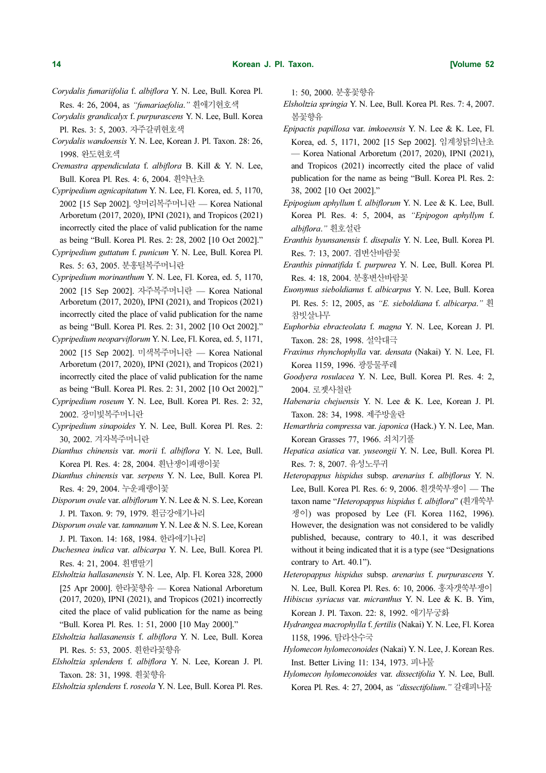- Corydalis fumariifolia f. albiflora Y. N. Lee, Bull. Korea Pl. Res. 4: 26, 2004, as "fumariaefolia." 흰애기현호색
- Corydalis grandicalyx f. purpurascens Y. N. Lee, Bull. Korea Pl. Res. 3: 5, 2003. 자주갈퀴현호색
- Corydalis wandoensis Y. N. Lee, Korean J. Pl. Taxon. 28: 26, 1998. 완도현호색
- Cremastra appendiculata f. albiflora B. Kill & Y. N. Lee, Bull. Korea Pl. Res. 4: 6, 2004. 흰약난초
- Cypripedium agnicapitatum Y. N. Lee, Fl. Korea, ed. 5, 1170, 2002 [15 Sep 2002]. 양머리복주머니란 — Korea National Arboretum (2017, 2020), IPNI (2021), and Tropicos (2021) incorrectly cited the place of valid publication for the name as being "Bull. Korea Pl. Res. 2: 28, 2002 [10 Oct 2002]."
- Cypripedium guttatum f. punicum Y. N. Lee, Bull. Korea Pl. Res. 5: 63, 2005. 분홍털복주머니란
- Cypripedium morinanthum Y. N. Lee, Fl. Korea, ed. 5, 1170, 2002 [15 Sep 2002]. 자주복주머니란 — Korea National Arboretum (2017, 2020), IPNI (2021), and Tropicos (2021) incorrectly cited the place of valid publication for the name as being "Bull. Korea Pl. Res. 2: 31, 2002 [10 Oct 2002]."
- Cypripedium neoparviflorum Y. N. Lee, Fl. Korea, ed. 5, 1171, 2002 [15 Sep 2002]. 미색복주머니란 — Korea National Arboretum (2017, 2020), IPNI (2021), and Tropicos (2021) incorrectly cited the place of valid publication for the name as being "Bull. Korea Pl. Res. 2: 31, 2002 [10 Oct 2002]."
- Cypripedium roseum Y. N. Lee, Bull. Korea Pl. Res. 2: 32, 2002. 장미빛복주머니란
- Cypripedium sinapoides Y. N. Lee, Bull. Korea Pl. Res. 2: 30, 2002. 겨자복주머니란
- Dianthus chinensis var. morii f. albiflora Y. N. Lee, Bull. Korea Pl. Res. 4: 28, 2004. 흰난쟁이패랭이꽃
- Dianthus chinensis var. serpens Y. N. Lee, Bull. Korea Pl. Res. 4: 29, 2004. 누운패랭이꽃
- Disporum ovale var. albiflorum Y. N. Lee & N. S. Lee, Korean J. Pl. Taxon. 9: 79, 1979. 흰금강애기나리
- Disporum ovale var. tamnanum Y. N. Lee & N. S. Lee, Korean J. Pl. Taxon. 14: 168, 1984. 한라애기나리
- Duchesnea indica var. albicarpa Y. N. Lee, Bull. Korea Pl. Res. 4: 21, 2004. 흰뱀딸기
- Elsholtzia hallasanensis Y. N. Lee, Alp. Fl. Korea 328, 2000 [25 Apr 2000]. 한라꽃향유 — Korea National Arboretum (2017, 2020), IPNI (2021), and Tropicos (2021) incorrectly cited the place of valid publication for the name as being "Bull. Korea Pl. Res. 1: 51, 2000 [10 May 2000]."
- Elsholtzia hallasanensis f. albiflora Y. N. Lee, Bull. Korea Pl. Res. 5: 53, 2005. 흰한라꽃향유
- Elsholtzia splendens f. albiflora Y. N. Lee, Korean J. Pl. Taxon. 28: 31, 1998. 흰꽃향유
- Elsholtzia splendens f. roseola Y. N. Lee, Bull. Korea Pl. Res.

1: 50, 2000. 분홍꽃향유

- Elsholtzia springia Y. N. Lee, Bull. Korea Pl. Res. 7: 4, 2007. 봄꽃향유
- Epipactis papillosa var. imkoeensis Y. N. Lee & K. Lee, Fl. Korea, ed. 5, 1171, 2002 [15 Sep 2002]. 임계청닭의난초 — Korea National Arboretum (2017, 2020), IPNI (2021), and Tropicos (2021) incorrectly cited the place of valid publication for the name as being "Bull. Korea Pl. Res. 2: 38, 2002 [10 Oct 2002]."
- Epipogium aphyllum f. albiflorum Y. N. Lee & K. Lee, Bull. Korea Pl. Res. 4: 5, 2004, as "Epipogon aphyllym f. albiflora." 흰호설란
- Eranthis byunsanensis f. disepalis Y. N. Lee, Bull. Korea Pl. Res. 7: 13, 2007. 겹변산바람꽃
- Eranthis pinnatifida f. purpurea Y. N. Lee, Bull. Korea Pl. Res. 4: 18, 2004. 분홍변산바람꽃
- Euonymus sieboldianus f. albicarpus Y. N. Lee, Bull. Korea Pl. Res. 5: 12, 2005, as "E. sieboldiana f. albicarpa." 흰 참빗살나무
- Euphorbia ebracteolata f. magna Y. N. Lee, Korean J. Pl. Taxon. 28: 28, 1998. 설악대극
- Fraxinus rhynchophylla var. densata (Nakai) Y. N. Lee, Fl. Korea 1159, 1996. 광릉물푸레
- Goodyera rosulacea Y. N. Lee, Bull. Korea Pl. Res. 4: 2, 2004. 로젯사철란
- Habenaria chejuensis Y. N. Lee & K. Lee, Korean J. Pl. Taxon. 28: 34, 1998. 제주방울란
- Hemarthria compressa var. japonica (Hack.) Y. N. Lee, Man. Korean Grasses 77, 1966. 쇠치기풀
- Hepatica asiatica var. yuseongii Y. N. Lee, Bull. Korea Pl. Res. 7: 8, 2007. 유성노루귀
- Heteropappus hispidus subsp. arenarius f. albiflorus Y. N. Lee, Bull. Korea Pl. Res. 6: 9, 2006. 흰갯쑥부쟁이 — The taxon name "Heteropappus hispidus f. albiflora" (흰개쑥부 쟁이) was proposed by Lee (Fl. Korea 1162, 1996). However, the designation was not considered to be validly published, because, contrary to 40.1, it was described without it being indicated that it is a type (see "Designations contrary to Art. 40.1").
- Heteropappus hispidus subsp. arenarius f. purpurascens Y. N. Lee, Bull. Korea Pl. Res. 6: 10, 2006. 홍자갯쑥부쟁이
- Hibiscus syriacus var. micranthus Y. N. Lee & K. B. Yim, Korean J. Pl. Taxon. 22: 8, 1992. 애기무궁화
- Hydrangea macrophylla f. fertilis (Nakai) Y. N. Lee, Fl. Korea 1158, 1996. 탐라산수국
- Hylomecon hylomeconoides (Nakai) Y. N. Lee, J. Korean Res. Inst. Better Living 11: 134, 1973. 피나물
- Hylomecon hylomeconoides var. dissectifolia Y. N. Lee, Bull. Korea Pl. Res. 4: 27, 2004, as "dissectifolium." 갈래피나물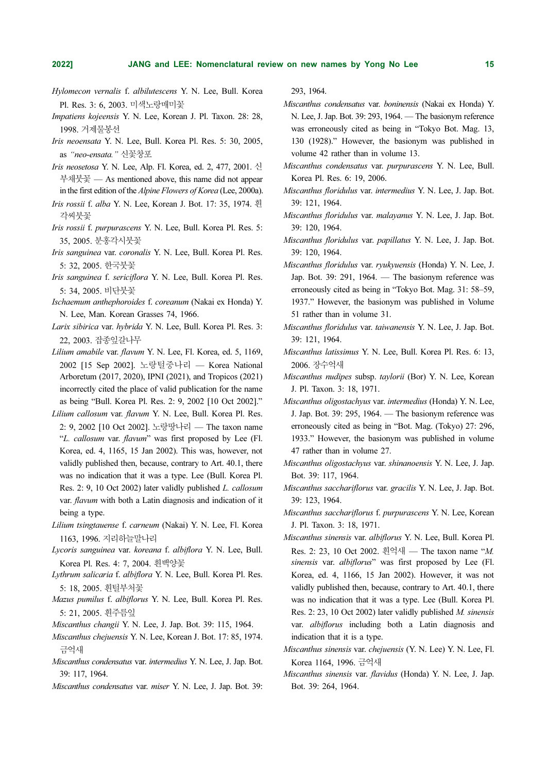- Hylomecon vernalis f. albilutescens Y. N. Lee, Bull. Korea Pl. Res. 3: 6, 2003. 미색노랑매미꽃
- Impatiens kojeensis Y. N. Lee, Korean J. Pl. Taxon. 28: 28, 1998. 거제물봉선
- Iris neoensata Y. N. Lee, Bull. Korea Pl. Res. 5: 30, 2005, as "neo-ensata." 신꽃창포
- Iris neosetosa Y. N. Lee, Alp. Fl. Korea, ed. 2, 477, 2001. 신 부채붓꽃 — As mentioned above, this name did not appear in the first edition of the Alpine Flowers of Korea (Lee, 2000a).
- Iris rossii f. alba Y. N. Lee, Korean J. Bot. 17: 35, 1974. 흰 각씨붓꽃
- Iris rossii f. purpurascens Y. N. Lee, Bull. Korea Pl. Res. 5: 35, 2005. 분홍각시붓꽃
- Iris sanguinea var. coronalis Y. N. Lee, Bull. Korea Pl. Res. 5: 32, 2005. 한국붓꽃
- Iris sanguinea f. sericiflora Y. N. Lee, Bull. Korea Pl. Res. 5: 34, 2005. 비단붓꽃
- Ischaemum anthephoroides f. coreanum (Nakai ex Honda) Y. N. Lee, Man. Korean Grasses 74, 1966.
- Larix sibirica var. hybrida Y. N. Lee, Bull. Korea Pl. Res. 3: 22, 2003. 잡종잎갈나무
- Lilium amabile var. flavum Y. N. Lee, Fl. Korea, ed. 5, 1169, 2002 [15 Sep 2002]. 노랑털중나리 — Korea National Arboretum (2017, 2020), IPNI (2021), and Tropicos (2021) incorrectly cited the place of valid publication for the name as being "Bull. Korea Pl. Res. 2: 9, 2002 [10 Oct 2002]."
- Lilium callosum var. flavum Y. N. Lee, Bull. Korea Pl. Res. 2: 9, 2002 [10 Oct 2002]. 노랑땅나리 — The taxon name "L. callosum var. flavum" was first proposed by Lee (Fl. Korea, ed. 4, 1165, 15 Jan 2002). This was, however, not validly published then, because, contrary to Art. 40.1, there was no indication that it was a type. Lee (Bull. Korea Pl. Res. 2: 9, 10 Oct 2002) later validly published L. callosum var. *flavum* with both a Latin diagnosis and indication of it being a type.
- Lilium tsingtauense f. carneum (Nakai) Y. N. Lee, Fl. Korea 1163, 1996. 지리하늘말나리
- Lycoris sanguinea var. koreana f. albiflora Y. N. Lee, Bull. Korea Pl. Res. 4: 7, 2004. 흰백양꽃
- Lythrum salicaria f. albiflora Y. N. Lee, Bull. Korea Pl. Res. 5: 18, 2005. 흰털부처꽃
- Mazus pumilus f. albiflorus Y. N. Lee, Bull. Korea Pl. Res. 5: 21, 2005. 흰주름잎
- Miscanthus changii Y. N. Lee, J. Jap. Bot. 39: 115, 1964.
- Miscanthus chejuensis Y. N. Lee, Korean J. Bot. 17: 85, 1974. 금억새
- Miscanthus condensatus var. intermedius Y. N. Lee, J. Jap. Bot. 39: 117, 1964.
- Miscanthus condensatus var. miser Y. N. Lee, J. Jap. Bot. 39:

293, 1964.

- Miscanthus condensatus var. boninensis (Nakai ex Honda) Y. N. Lee, J. Jap. Bot. 39: 293, 1964. — The basionym reference was erroneously cited as being in "Tokyo Bot. Mag. 13, 130 (1928)." However, the basionym was published in volume 42 rather than in volume 13.
- Miscanthus condensatus var. purpurascens Y. N. Lee, Bull. Korea Pl. Res. 6: 19, 2006.
- Miscanthus floridulus var. intermedius Y. N. Lee, J. Jap. Bot. 39: 121, 1964.
- Miscanthus floridulus var. malayanus Y. N. Lee, J. Jap. Bot. 39: 120, 1964.
- Miscanthus floridulus var. papillatus Y. N. Lee, J. Jap. Bot. 39: 120, 1964.
- Miscanthus floridulus var. ryukyuensis (Honda) Y. N. Lee, J. Jap. Bot. 39: 291, 1964. — The basionym reference was erroneously cited as being in "Tokyo Bot. Mag. 31: 58–59, 1937." However, the basionym was published in Volume 51 rather than in volume 31.
- Miscanthus floridulus var. taiwanensis Y. N. Lee, J. Jap. Bot. 39: 121, 1964.
- Miscanthus latissimus Y. N. Lee, Bull. Korea Pl. Res. 6: 13, 2006. 장수억새
- Miscanthus nudipes subsp. taylorii (Bor) Y. N. Lee, Korean J. Pl. Taxon. 3: 18, 1971.
- Miscanthus oligostachyus var. intermedius (Honda) Y. N. Lee, J. Jap. Bot. 39: 295, 1964. — The basionym reference was erroneously cited as being in "Bot. Mag. (Tokyo) 27: 296, 1933." However, the basionym was published in volume 47 rather than in volume 27.
- Miscanthus oligostachyus var. shinanoensis Y. N. Lee, J. Jap. Bot. 39: 117, 1964.
- Miscanthus sacchariflorus var. gracilis Y. N. Lee, J. Jap. Bot. 39: 123, 1964.
- Miscanthus sacchariflorus f. purpurascens Y. N. Lee, Korean J. Pl. Taxon. 3: 18, 1971.
- Miscanthus sinensis var. albiflorus Y. N. Lee, Bull. Korea Pl. Res. 2: 23, 10 Oct 2002. 흰억새 — The taxon name "M. sinensis var. albiflorus" was first proposed by Lee (Fl. Korea, ed. 4, 1166, 15 Jan 2002). However, it was not validly published then, because, contrary to Art. 40.1, there was no indication that it was a type. Lee (Bull. Korea Pl. Res. 2: 23, 10 Oct 2002) later validly published M. sinensis var. albiflorus including both a Latin diagnosis and indication that it is a type.
- Miscanthus sinensis var. chejuensis (Y. N. Lee) Y. N. Lee, Fl. Korea 1164, 1996. 금억새
- Miscanthus sinensis var. flavidus (Honda) Y. N. Lee, J. Jap. Bot. 39: 264, 1964.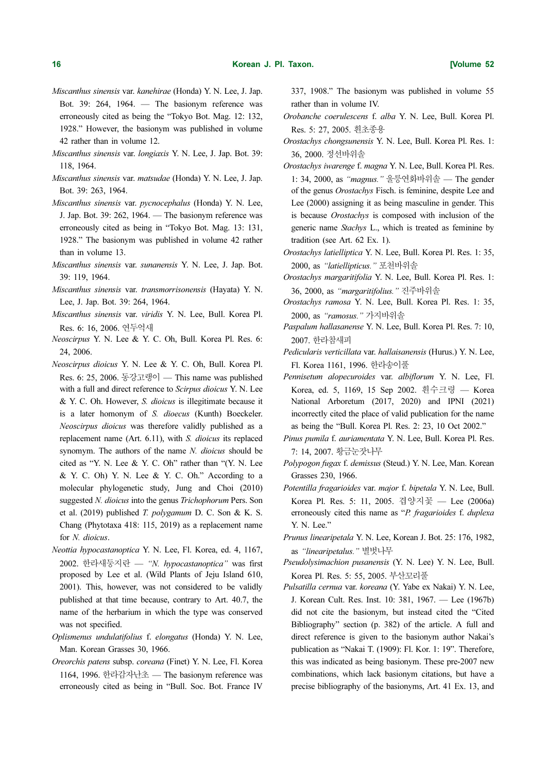- Miscanthus sinensis var. kanehirae (Honda) Y. N. Lee, J. Jap. Bot. 39: 264, 1964. — The basionym reference was erroneously cited as being the "Tokyo Bot. Mag. 12: 132, 1928." However, the basionym was published in volume 42 rather than in volume 12.
- Miscanthus sinensis var. longiaxis Y. N. Lee, J. Jap. Bot. 39: 118, 1964.
- Miscanthus sinensis var. matsudae (Honda) Y. N. Lee, J. Jap. Bot. 39: 263, 1964.
- Miscanthus sinensis var. pycnocephalus (Honda) Y. N. Lee, J. Jap. Bot. 39: 262, 1964. — The basionym reference was erroneously cited as being in "Tokyo Bot. Mag. 13: 131, 1928." The basionym was published in volume 42 rather than in volume 13.
- Miscanthus sinensis var. sunanensis Y. N. Lee, J. Jap. Bot. 39: 119, 1964.
- Miscanthus sinensis var. transmorrisonensis (Hayata) Y. N. Lee, J. Jap. Bot. 39: 264, 1964.
- Miscanthus sinensis var. viridis Y. N. Lee, Bull. Korea Pl. Res. 6: 16, 2006. 연두억새
- Neoscirpus Y. N. Lee & Y. C. Oh, Bull. Korea Pl. Res. 6: 24, 2006.
- Neoscirpus dioicus Y. N. Lee & Y. C. Oh, Bull. Korea Pl. Res. 6: 25, 2006. 동강고랭이 — This name was published with a full and direct reference to Scirpus dioicus Y. N. Lee & Y. C. Oh. However, S. dioicus is illegitimate because it is a later homonym of S. dioecus (Kunth) Boeckeler. Neoscirpus dioicus was therefore validly published as a replacement name (Art. 6.11), with S. dioicus its replaced synomym. The authors of the name N. dioicus should be cited as "Y. N. Lee & Y. C. Oh" rather than "(Y. N. Lee & Y. C. Oh) Y. N. Lee & Y. C. Oh." According to a molecular phylogenetic study, Jung and Choi (2010) suggested N. dioicus into the genus Trichophorum Pers. Son et al. (2019) published  $T$ . polygamum D. C. Son & K. S. Chang (Phytotaxa 418: 115, 2019) as a replacement name for N. dioicus.
- Neottia hypocastanoptica Y. N. Lee, Fl. Korea, ed. 4, 1167, 2002. 한라새둥지란 — "N. hypocastanoptica" was first proposed by Lee et al. (Wild Plants of Jeju Island 610, 2001). This, however, was not considered to be validly published at that time because, contrary to Art. 40.7, the name of the herbarium in which the type was conserved was not specified.
- Oplismenus undulatifolius f. elongatus (Honda) Y. N. Lee, Man. Korean Grasses 30, 1966.
- Oreorchis patens subsp. coreana (Finet) Y. N. Lee, Fl. Korea 1164, 1996. 한라감자난초 — The basionym reference was erroneously cited as being in "Bull. Soc. Bot. France IV

337, 1908." The basionym was published in volume 55 rather than in volume IV.

- Orobanche coerulescens f. alba Y. N. Lee, Bull. Korea Pl. Res. 5: 27, 2005. 흰초종용
- Orostachys chongsunensis Y. N. Lee, Bull. Korea Pl. Res. 1: 36, 2000. 정선바위솔
- Orostachys iwarenge f. magna Y. N. Lee, Bull. Korea Pl. Res. 1: 34, 2000, as "magnus." 울릉연화바위솔 — The gender of the genus Orostachys Fisch. is feminine, despite Lee and Lee (2000) assigning it as being masculine in gender. This is because Orostachys is composed with inclusion of the generic name Stachys L., which is treated as feminine by tradition (see Art. 62 Ex. 1).
- Orostachys latielliptica Y. N. Lee, Bull. Korea Pl. Res. 1: 35, 2000, as "latiellipticus." 포천바위솔
- Orostachys margaritifolia Y. N. Lee, Bull. Korea Pl. Res. 1: 36, 2000, as "margaritifolius." 진주바위솔
- Orostachys ramosa Y. N. Lee, Bull. Korea Pl. Res. 1: 35, 2000, as "ramosus." 가지바위솔
- Paspalum hallasanense Y. N. Lee, Bull. Korea Pl. Res. 7: 10, 2007. 한라참새피
- Pedicularis verticillata var. hallaisanensis (Hurus.) Y. N. Lee, Fl. Korea 1161, 1996. 한라송이풀
- Pennisetum alopecuroides var. albiflorum Y. N. Lee, Fl. Korea, ed. 5, 1169, 15 Sep 2002. 흰수크령 — Korea National Arboretum (2017, 2020) and IPNI (2021) incorrectly cited the place of valid publication for the name as being the "Bull. Korea Pl. Res. 2: 23, 10 Oct 2002."
- Pinus pumila f. auriamentata Y. N. Lee, Bull. Korea Pl. Res. 7: 14, 2007. 황금눈잣나무
- Polypogon fugax f. demissus (Steud.) Y. N. Lee, Man. Korean Grasses 230, 1966.
- Potentilla fragarioides var. major f. bipetala Y. N. Lee, Bull. Korea Pl. Res. 5: 11, 2005. 겹양지꽃 — Lee (2006a) erroneously cited this name as "P. fragarioides f. duplexa Y. N. Lee."
- Prunus linearipetala Y. N. Lee, Korean J. Bot. 25: 176, 1982, as "linearipetalus." 별벗나무
- Pseudolysimachion pusanensis (Y. N. Lee) Y. N. Lee, Bull. Korea Pl. Res. 5: 55, 2005. 부산꼬리풀
- Pulsatilla cernua var. koreana (Y. Yabe ex Nakai) Y. N. Lee, J. Korean Cult. Res. Inst. 10: 381, 1967. — Lee (1967b) did not cite the basionym, but instead cited the "Cited Bibliography" section (p. 382) of the article. A full and direct reference is given to the basionym author Nakai's publication as "Nakai T. (1909): Fl. Kor. 1: 19". Therefore, this was indicated as being basionym. These pre-2007 new combinations, which lack basionym citations, but have a precise bibliography of the basionyms, Art. 41 Ex. 13, and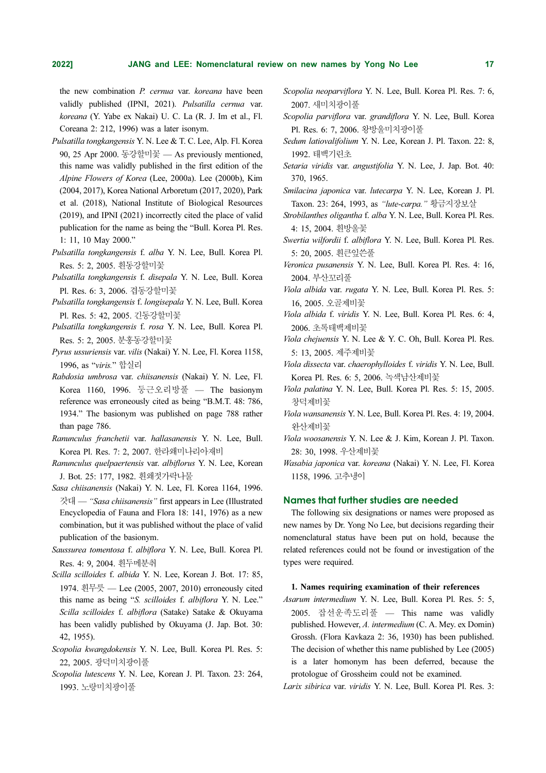the new combination P. cernua var. koreana have been validly published (IPNI, 2021). Pulsatilla cernua var. koreana (Y. Yabe ex Nakai) U. C. La (R. J. Im et al., Fl. Coreana 2: 212, 1996) was a later isonym.

- Pulsatilla tongkangensis Y. N. Lee & T. C. Lee, Alp. Fl. Korea 90, 25 Apr 2000. 동강할미꽃 — As previously mentioned, this name was validly published in the first edition of the Alpine Flowers of Korea (Lee, 2000a). Lee (2000b), Kim (2004, 2017), Korea National Arboretum (2017, 2020), Park et al. (2018), National Institute of Biological Resources (2019), and IPNI (2021) incorrectly cited the place of valid publication for the name as being the "Bull. Korea Pl. Res. 1: 11, 10 May 2000."
- Pulsatilla tongkangensis f. alba Y. N. Lee, Bull. Korea Pl. Res. 5: 2, 2005. 흰동강할미꽃
- Pulsatilla tongkangensis f. disepala Y. N. Lee, Bull. Korea Pl. Res. 6: 3, 2006. 겹동강할미꽃
- Pulsatilla tongkangensis f. longisepala Y. N. Lee, Bull. Korea Pl. Res. 5: 42, 2005. 긴동강할미꽃
- Pulsatilla tongkangensis f. rosa Y. N. Lee, Bull. Korea Pl. Res. 5: 2, 2005. 분홍동강할미꽃
- Pyrus ussuriensis var. vilis (Nakai) Y. N. Lee, Fl. Korea 1158, 1996, as "viris." 합실리
- Rabdosia umbrosa var. chiisanensis (Nakai) Y. N. Lee, Fl. Korea 1160, 1996. 둥근오리방풀 — The basionym reference was erroneously cited as being "B.M.T. 48: 786, 1934." The basionym was published on page 788 rather than page 786.
- Ranunculus franchetii var. hallasanensis Y. N. Lee, Bull. Korea Pl. Res. 7: 2, 2007. 한라왜미나리아재비
- Ranunculus quelpaertensis var. albiflorus Y. N. Lee, Korean J. Bot. 25: 177, 1982. 흰왜젓가락나물
- Sasa chiisanensis (Nakai) Y. N. Lee, Fl. Korea 1164, 1996. 갓대 — "Sasa chiisanensis" first appears in Lee (Illustrated Encyclopedia of Fauna and Flora 18: 141, 1976) as a new combination, but it was published without the place of valid publication of the basionym.
- Saussurea tomentosa f. albiflora Y. N. Lee, Bull. Korea Pl. Res. 4: 9, 2004. 흰두메분취
- Scilla scilloides f. albida Y. N. Lee, Korean J. Bot. 17: 85, 1974. 흰무릇 — Lee (2005, 2007, 2010) erroneously cited this name as being "S. scilloides f. albiflora Y. N. Lee." Scilla scilloides f. albiflora (Satake) Satake & Okuyama has been validly published by Okuyama (J. Jap. Bot. 30: 42, 1955).
- Scopolia kwangdokensis Y. N. Lee, Bull. Korea Pl. Res. 5: 22, 2005. 광덕미치광이풀
- Scopolia lutescens Y. N. Lee, Korean J. Pl. Taxon. 23: 264, 1993. 노랑미치광이풀
- Scopolia neoparviflora Y. N. Lee, Bull. Korea Pl. Res. 7: 6, 2007. 새미치광이풀
- Scopolia parviflora var. grandiflora Y. N. Lee, Bull. Korea Pl. Res. 6: 7, 2006. 왕방울미치광이풀
- Sedum latiovalifolium Y. N. Lee, Korean J. Pl. Taxon. 22: 8, 1992. 태백기린초
- Setaria viridis var. angustifolia Y. N. Lee, J. Jap. Bot. 40: 370, 1965.
- Smilacina japonica var. lutecarpa Y. N. Lee, Korean J. Pl. Taxon. 23: 264, 1993, as "lute-carpa." 황금지장보살
- Strobilanthes oligantha f. alba Y. N. Lee, Bull. Korea Pl. Res. 4: 15, 2004. 흰방울꽃
- Swertia wilfordii f. albiflora Y. N. Lee, Bull. Korea Pl. Res. 5: 20, 2005. 흰큰잎쓴풀
- Veronica pusanensis Y. N. Lee, Bull. Korea Pl. Res. 4: 16, 2004. 부산꼬리풀
- Viola albida var. rugata Y. N. Lee, Bull. Korea Pl. Res. 5: 16, 2005. 오골제비꽃
- Viola albida f. viridis Y. N. Lee, Bull. Korea Pl. Res. 6: 4, 2006. 초록태백제비꽃
- Viola chejuensis Y. N. Lee & Y. C. Oh, Bull. Korea Pl. Res. 5: 13, 2005. 제주제비꽃
- Viola dissecta var. chaerophylloides f. viridis Y. N. Lee, Bull. Korea Pl. Res. 6: 5, 2006. 녹색남산제비꽃
- Viola palatina Y. N. Lee, Bull. Korea Pl. Res. 5: 15, 2005. 창덕제비꽃
- Viola wansanensis Y. N. Lee, Bull. Korea Pl. Res. 4: 19, 2004. 완산제비꽃
- Viola woosanensis Y. N. Lee & J. Kim, Korean J. Pl. Taxon. 28: 30, 1998. 우산제비꽃
- Wasabia japonica var. koreana (Nakai) Y. N. Lee, Fl. Korea 1158, 1996. 고추냉이

# Names that further studies are needed

The following six designations or names were proposed as new names by Dr. Yong No Lee, but decisions regarding their nomenclatural status have been put on hold, because the related references could not be found or investigation of the types were required.

# 1. Names requiring examination of their references

Asarum intermedium Y. N. Lee, Bull. Korea Pl. Res. 5: 5, 2005. 잡선운족도리풀 — This name was validly published. However, A. intermedium (C. A. Mey. ex Domin) Grossh. (Flora Kavkaza 2: 36, 1930) has been published. The decision of whether this name published by Lee (2005) is a later homonym has been deferred, because the protologue of Grossheim could not be examined.

Larix sibirica var. viridis Y. N. Lee, Bull. Korea Pl. Res. 3: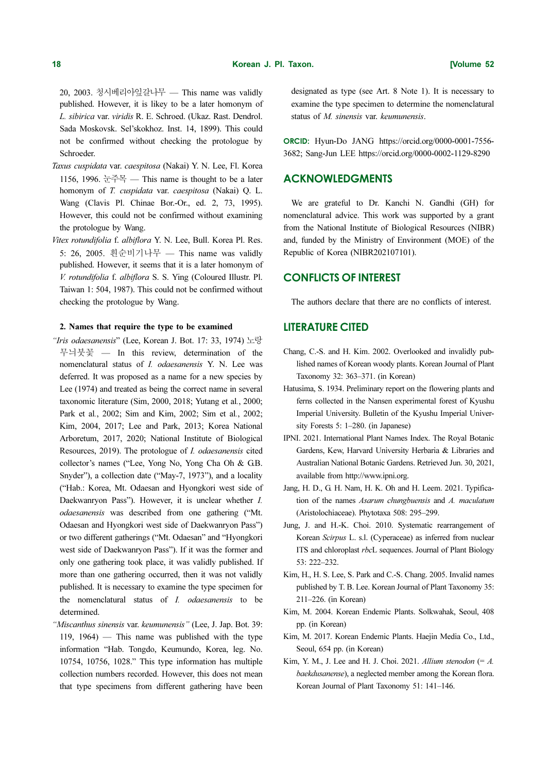20, 2003. 청시베리아잎갈나무 — This name was validly published. However, it is likey to be a later homonym of L. sibirica var. viridis R. E. Schroed. (Ukaz. Rast. Dendrol. Sada Moskovsk. Sel'skokhoz. Inst. 14, 1899). This could not be confirmed without checking the protologue by Schroeder.

- Taxus cuspidata var. caespitosa (Nakai) Y. N. Lee, Fl. Korea 1156, 1996.  $\pm \mp \mp$  — This name is thought to be a later homonym of T. cuspidata var. caespitosa (Nakai) O. L. Wang (Clavis Pl. Chinae Bor.-Or., ed. 2, 73, 1995). However, this could not be confirmed without examining the protologue by Wang.
- Vitex rotundifolia f. albiflora Y. N. Lee, Bull. Korea Pl. Res. 5: 26, 2005. 흰순비기나무 — This name was validly published. However, it seems that it is a later homonym of V. rotundifolia f. albiflora S. S. Ying (Coloured Illustr. Pl. Taiwan 1: 504, 1987). This could not be confirmed without checking the protologue by Wang.

# 2. Names that require the type to be examined

- "Iris odaesanensis" (Lee, Korean J. Bot. 17: 33, 1974) 노랑 무늬붓꽃 — In this review, determination of the nomenclatural status of I. odaesanensis Y. N. Lee was deferred. It was proposed as a name for a new species by Lee (1974) and treated as being the correct name in several taxonomic literature (Sim, 2000, 2018; Yutang et al., 2000; Park et al., 2002; Sim and Kim, 2002; Sim et al., 2002; Kim, 2004, 2017; Lee and Park, 2013; Korea National Arboretum, 2017, 2020; National Institute of Biological Resources, 2019). The protologue of I. odaesanensis cited collector's names ("Lee, Yong No, Yong Cha Oh & G.B. Snyder"), a collection date ("May-7, 1973"), and a locality ("Hab.: Korea, Mt. Odaesan and Hyongkori west side of Daekwanryon Pass"). However, it is unclear whether I. odaesanensis was described from one gathering ("Mt. Odaesan and Hyongkori west side of Daekwanryon Pass") or two different gatherings ("Mt. Odaesan" and "Hyongkori west side of Daekwanryon Pass"). If it was the former and only one gathering took place, it was validly published. If more than one gathering occurred, then it was not validly published. It is necessary to examine the type specimen for the nomenclatural status of I. odaesanensis to be determined.
- "Miscanthus sinensis var. keumunensis" (Lee, J. Jap. Bot. 39: 119, 1964) — This name was published with the type information "Hab. Tongdo, Keumundo, Korea, leg. No. 10754, 10756, 1028." This type information has multiple collection numbers recorded. However, this does not mean that type specimens from different gathering have been

designated as type (see Art. 8 Note 1). It is necessary to examine the type specimen to determine the nomenclatural status of M. sinensis var. keumunensis.

ORCID: Hyun-Do JANG https://orcid.org/0000-0001-7556- 3682; Sang-Jun LEE https://orcid.org/0000-0002-1129-8290

# ACKNOWLEDGMENTS

We are grateful to Dr. Kanchi N. Gandhi (GH) for nomenclatural advice. This work was supported by a grant from the National Institute of Biological Resources (NIBR) and, funded by the Ministry of Environment (MOE) of the Republic of Korea (NIBR202107101).

# CONFLICTS OF INTEREST

The authors declare that there are no conflicts of interest.

# LITERATURE CITED

- Chang, C.-S. and H. Kim. 2002. Overlooked and invalidly published names of Korean woody plants. Korean Journal of Plant Taxonomy 32: 363–371. (in Korean)
- Hatusima, S. 1934. Preliminary report on the flowering plants and ferns collected in the Nansen experimental forest of Kyushu Imperial University. Bulletin of the Kyushu Imperial University Forests 5: 1–280. (in Japanese)
- IPNI. 2021. International Plant Names Index. The Royal Botanic Gardens, Kew, Harvard University Herbaria & Libraries and Australian National Botanic Gardens. Retrieved Jun. 30, 2021, available from http://www.ipni.org.
- Jang, H. D., G. H. Nam, H. K. Oh and H. Leem. 2021. Typification of the names Asarum chungbuensis and A. maculatum (Aristolochiaceae). Phytotaxa 508: 295–299.
- Jung, J. and H.-K. Choi. 2010. Systematic rearrangement of Korean Scirpus L. s.l. (Cyperaceae) as inferred from nuclear ITS and chloroplast rbcL sequences. Journal of Plant Biology 53: 222–232.
- Kim, H., H. S. Lee, S. Park and C.-S. Chang. 2005. Invalid names published by T. B. Lee. Korean Journal of Plant Taxonomy 35: 211–226. (in Korean)
- Kim, M. 2004. Korean Endemic Plants. Solkwahak, Seoul, 408 pp. (in Korean)
- Kim, M. 2017. Korean Endemic Plants. Haejin Media Co., Ltd., Seoul, 654 pp. (in Korean)
- Kim, Y. M., J. Lee and H. J. Choi. 2021. Allium stenodon  $(= A.$ baekdusanense), a neglected member among the Korean flora. Korean Journal of Plant Taxonomy 51: 141–146.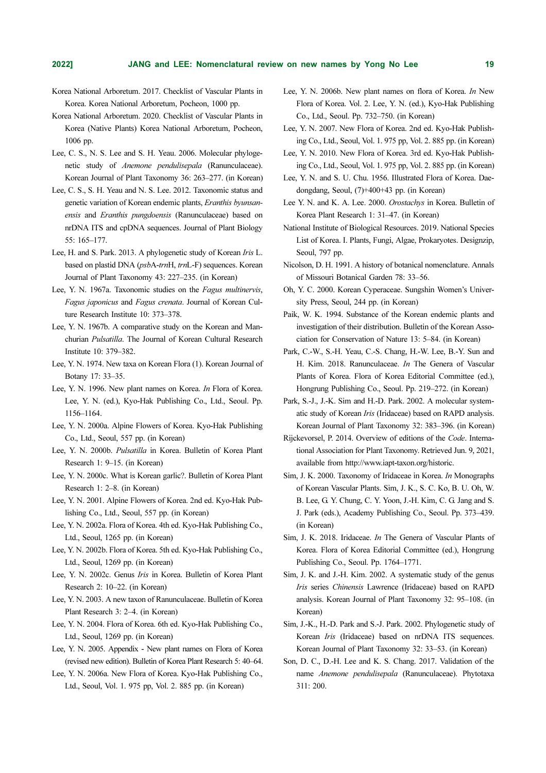- Korea National Arboretum. 2017. Checklist of Vascular Plants in Korea. Korea National Arboretum, Pocheon, 1000 pp.
- Korea National Arboretum. 2020. Checklist of Vascular Plants in Korea (Native Plants) Korea National Arboretum, Pocheon, 1006 pp.
- Lee, C. S., N. S. Lee and S. H. Yeau. 2006. Molecular phylogenetic study of Anemone pendulisepala (Ranunculaceae). Korean Journal of Plant Taxonomy 36: 263–277. (in Korean)
- Lee, C. S., S. H. Yeau and N. S. Lee. 2012. Taxonomic status and genetic variation of Korean endemic plants, Eranthis byunsanensis and Eranthis pungdoensis (Ranunculaceae) based on nrDNA ITS and cpDNA sequences. Journal of Plant Biology 55: 165–177.
- Lee, H. and S. Park. 2013. A phylogenetic study of Korean Iris L. based on plastid DNA (psbA-trnH, trnL-F) sequences. Korean Journal of Plant Taxonomy 43: 227–235. (in Korean)
- Lee, Y. N. 1967a. Taxonomic studies on the Fagus multinervis, Fagus japonicus and Fagus crenata. Journal of Korean Culture Research Institute 10: 373–378.
- Lee, Y. N. 1967b. A comparative study on the Korean and Manchurian Pulsatilla. The Journal of Korean Cultural Research Institute 10: 379–382.
- Lee, Y. N. 1974. New taxa on Korean Flora (1). Korean Journal of Botany 17: 33–35.
- Lee, Y. N. 1996. New plant names on Korea. In Flora of Korea. Lee, Y. N. (ed.), Kyo-Hak Publishing Co., Ltd., Seoul. Pp. 1156–1164.
- Lee, Y. N. 2000a. Alpine Flowers of Korea. Kyo-Hak Publishing Co., Ltd., Seoul, 557 pp. (in Korean)
- Lee, Y. N. 2000b. Pulsatilla in Korea. Bulletin of Korea Plant Research 1: 9–15. (in Korean)
- Lee, Y. N. 2000c. What is Korean garlic?. Bulletin of Korea Plant Research 1: 2–8. (in Korean)
- Lee, Y. N. 2001. Alpine Flowers of Korea. 2nd ed. Kyo-Hak Publishing Co., Ltd., Seoul, 557 pp. (in Korean)
- Lee, Y. N. 2002a. Flora of Korea. 4th ed. Kyo-Hak Publishing Co., Ltd., Seoul, 1265 pp. (in Korean)
- Lee, Y. N. 2002b. Flora of Korea. 5th ed. Kyo-Hak Publishing Co., Ltd., Seoul, 1269 pp. (in Korean)
- Lee, Y. N. 2002c. Genus Iris in Korea. Bulletin of Korea Plant Research 2: 10–22. (in Korean)
- Lee, Y. N. 2003. A new taxon of Ranunculaceae. Bulletin of Korea Plant Research 3: 2–4. (in Korean)
- Lee, Y. N. 2004. Flora of Korea. 6th ed. Kyo-Hak Publishing Co., Ltd., Seoul, 1269 pp. (in Korean)
- Lee, Y. N. 2005. Appendix New plant names on Flora of Korea (revised new edition). Bulletin of Korea Plant Research 5: 40–64.
- Lee, Y. N. 2006a. New Flora of Korea. Kyo-Hak Publishing Co., Ltd., Seoul, Vol. 1. 975 pp, Vol. 2. 885 pp. (in Korean)
- Lee, Y. N. 2006b. New plant names on flora of Korea. In New Flora of Korea. Vol. 2. Lee, Y. N. (ed.), Kyo-Hak Publishing Co., Ltd., Seoul. Pp. 732–750. (in Korean)
- Lee, Y. N. 2007. New Flora of Korea. 2nd ed. Kyo-Hak Publishing Co., Ltd., Seoul, Vol. 1. 975 pp, Vol. 2. 885 pp. (in Korean)
- Lee, Y. N. 2010. New Flora of Korea. 3rd ed. Kyo-Hak Publishing Co., Ltd., Seoul, Vol. 1. 975 pp, Vol. 2. 885 pp. (in Korean)
- Lee, Y. N. and S. U. Chu. 1956. Illustrated Flora of Korea. Daedongdang, Seoul, (7)+400+43 pp. (in Korean)
- Lee Y. N. and K. A. Lee. 2000. Orostachys in Korea. Bulletin of Korea Plant Research 1: 31–47. (in Korean)
- National Institute of Biological Resources. 2019. National Species List of Korea. I. Plants, Fungi, Algae, Prokaryotes. Designzip, Seoul, 797 pp.
- Nicolson, D. H. 1991. A history of botanical nomenclature. Annals of Missouri Botanical Garden 78: 33–56.
- Oh, Y. C. 2000. Korean Cyperaceae. Sungshin Women's University Press, Seoul, 244 pp. (in Korean)
- Paik, W. K. 1994. Substance of the Korean endemic plants and investigation of their distribution. Bulletin of the Korean Association for Conservation of Nature 13: 5–84. (in Korean)
- Park, C.-W., S.-H. Yeau, C.-S. Chang, H.-W. Lee, B.-Y. Sun and H. Kim. 2018. Ranunculaceae. In The Genera of Vascular Plants of Korea. Flora of Korea Editorial Committee (ed.), Hongrung Publishing Co., Seoul. Pp. 219–272. (in Korean)
- Park, S.-J., J.-K. Sim and H.-D. Park. 2002. A molecular systematic study of Korean Iris (Iridaceae) based on RAPD analysis. Korean Journal of Plant Taxonomy 32: 383–396. (in Korean)
- Rijckevorsel, P. 2014. Overview of editions of the Code. International Association for Plant Taxonomy. Retrieved Jun. 9, 2021, available from http://www.iapt-taxon.org/historic.
- Sim, J. K. 2000. Taxonomy of Iridaceae in Korea. In Monographs of Korean Vascular Plants. Sim, J. K., S. C. Ko, B. U. Oh, W. B. Lee, G. Y. Chung, C. Y. Yoon, J.-H. Kim, C. G. Jang and S. J. Park (eds.), Academy Publishing Co., Seoul. Pp. 373–439. (in Korean)
- Sim, J. K. 2018. Iridaceae. In The Genera of Vascular Plants of Korea. Flora of Korea Editorial Committee (ed.), Hongrung Publishing Co., Seoul. Pp. 1764–1771.
- Sim, J. K. and J.-H. Kim. 2002. A systematic study of the genus Iris series Chinensis Lawrence (Iridaceae) based on RAPD analysis. Korean Journal of Plant Taxonomy 32: 95–108. (in Korean)
- Sim, J.-K., H.-D. Park and S.-J. Park. 2002. Phylogenetic study of Korean *Iris* (Iridaceae) based on nrDNA ITS sequences. Korean Journal of Plant Taxonomy 32: 33–53. (in Korean)
- Son, D. C., D.-H. Lee and K. S. Chang. 2017. Validation of the name Anemone pendulisepala (Ranunculaceae). Phytotaxa 311: 200.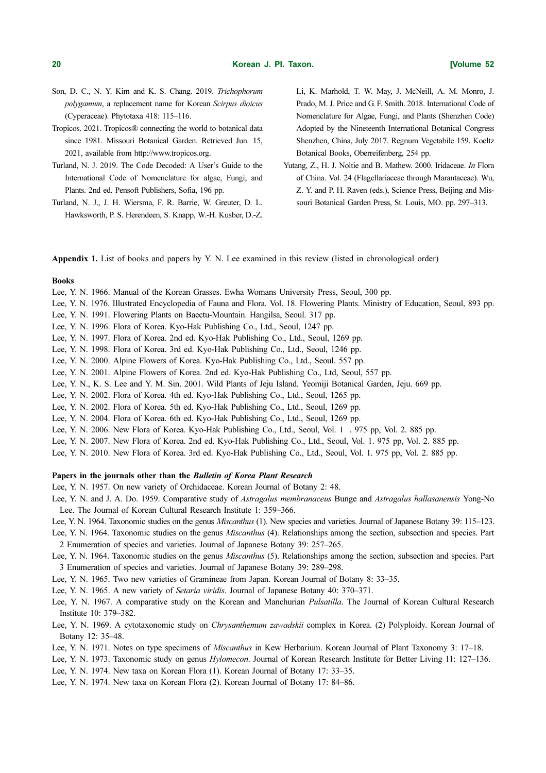- Son, D. C., N. Y. Kim and K. S. Chang. 2019. Trichophorum polygamum, a replacement name for Korean Scirpus dioicus (Cyperaceae). Phytotaxa 418: 115–116.
- Tropicos. 2021. Tropicos® connecting the world to botanical data since 1981. Missouri Botanical Garden. Retrieved Jun. 15, 2021, available from http://www.tropicos.org.
- Turland, N. J. 2019. The Code Decoded: A User's Guide to the International Code of Nomenclature for algae, Fungi, and Plants. 2nd ed. Pensoft Publishers, Sofia, 196 pp.
- Turland, N. J., J. H. Wiersma, F. R. Barrie, W. Greuter, D. L. Hawksworth, P. S. Herendeen, S. Knapp, W.-H. Kusber, D.-Z.

Li, K. Marhold, T. W. May, J. McNeill, A. M. Monro, J. Prado, M. J. Price and G. F. Smith. 2018. International Code of Nomenclature for Algae, Fungi, and Plants (Shenzhen Code) Adopted by the Nineteenth International Botanical Congress Shenzhen, China, July 2017. Regnum Vegetabile 159. Koeltz Botanical Books, Oberreifenberg, 254 pp.

Yutang, Z., H. J. Noltie and B. Mathew. 2000. Iridaceae. In Flora of China. Vol. 24 (Flagellariaceae through Marantaceae). Wu, Z. Y. and P. H. Raven (eds.), Science Press, Beijing and Missouri Botanical Garden Press, St. Louis, MO. pp. 297–313.

Appendix 1. List of books and papers by Y. N. Lee examined in this review (listed in chronological order)

#### Books

- Lee, Y. N. 1966. Manual of the Korean Grasses. Ewha Womans University Press, Seoul, 300 pp.
- Lee, Y. N. 1976. Illustrated Encyclopedia of Fauna and Flora. Vol. 18. Flowering Plants. Ministry of Education, Seoul, 893 pp.
- Lee, Y. N. 1991. Flowering Plants on Baectu-Mountain. Hangilsa, Seoul. 317 pp.
- Lee, Y. N. 1996. Flora of Korea. Kyo-Hak Publishing Co., Ltd., Seoul, 1247 pp.
- Lee, Y. N. 1997. Flora of Korea. 2nd ed. Kyo-Hak Publishing Co., Ltd., Seoul, 1269 pp.
- Lee, Y. N. 1998. Flora of Korea. 3rd ed. Kyo-Hak Publishing Co., Ltd., Seoul, 1246 pp.
- Lee, Y. N. 2000. Alpine Flowers of Korea. Kyo-Hak Publishing Co., Ltd., Seoul. 557 pp.
- Lee, Y. N. 2001. Alpine Flowers of Korea. 2nd ed. Kyo-Hak Publishing Co., Ltd, Seoul, 557 pp.
- Lee, Y. N., K. S. Lee and Y. M. Sin. 2001. Wild Plants of Jeju Island. Yeomiji Botanical Garden, Jeju. 669 pp.
- Lee, Y. N. 2002. Flora of Korea. 4th ed. Kyo-Hak Publishing Co., Ltd., Seoul, 1265 pp.
- Lee, Y. N. 2002. Flora of Korea. 5th ed. Kyo-Hak Publishing Co., Ltd., Seoul, 1269 pp.
- Lee, Y. N. 2004. Flora of Korea. 6th ed. Kyo-Hak Publishing Co., Ltd., Seoul, 1269 pp.
- Lee, Y. N. 2006. New Flora of Korea. Kyo-Hak Publishing Co., Ltd., Seoul, Vol. 1 . 975 pp, Vol. 2. 885 pp.
- Lee, Y. N. 2007. New Flora of Korea. 2nd ed. Kyo-Hak Publishing Co., Ltd., Seoul, Vol. 1. 975 pp, Vol. 2. 885 pp.
- Lee, Y. N. 2010. New Flora of Korea. 3rd ed. Kyo-Hak Publishing Co., Ltd., Seoul, Vol. 1. 975 pp, Vol. 2. 885 pp.

# Papers in the journals other than the Bulletin of Korea Plant Research

Lee, Y. N. 1957. On new variety of Orchidaceae. Korean Journal of Botany 2: 48.

Lee, Y. N. and J. A. Do. 1959. Comparative study of Astragalus membranaceus Bunge and Astragalus hallasanensis Yong-No Lee. The Journal of Korean Cultural Research Institute 1: 359–366.

- Lee, Y. N. 1964. Taxonomic studies on the genus *Miscanthus* (1). New species and varieties. Journal of Japanese Botany 39: 115–123.
- Lee, Y. N. 1964. Taxonomic studies on the genus *Miscanthus* (4). Relationships among the section, subsection and species. Part 2 Enumeration of species and varieties. Journal of Japanese Botany 39: 257–265.
- Lee, Y. N. 1964. Taxonomic studies on the genus *Miscanthus* (5). Relationships among the section, subsection and species. Part 3 Enumeration of species and varieties. Journal of Japanese Botany 39: 289–298.
- Lee, Y. N. 1965. Two new varieties of Gramineae from Japan. Korean Journal of Botany 8: 33–35.
- Lee, Y. N. 1965. A new variety of Setaria viridis. Journal of Japanese Botany 40: 370–371.
- Lee, Y. N. 1967. A comparative study on the Korean and Manchurian Pulsatilla. The Journal of Korean Cultural Research Institute 10: 379–382.
- Lee, Y. N. 1969. A cytotaxonomic study on *Chrysanthemum zawadskii* complex in Korea. (2) Polyploidy. Korean Journal of Botany 12: 35–48.
- Lee, Y. N. 1971. Notes on type specimens of Miscanthus in Kew Herbarium. Korean Journal of Plant Taxonomy 3: 17–18.
- Lee, Y. N. 1973. Taxonomic study on genus Hylomecon. Journal of Korean Research Institute for Better Living 11: 127–136.
- Lee, Y. N. 1974. New taxa on Korean Flora (1). Korean Journal of Botany 17: 33–35.
- Lee, Y. N. 1974. New taxa on Korean Flora (2). Korean Journal of Botany 17: 84–86.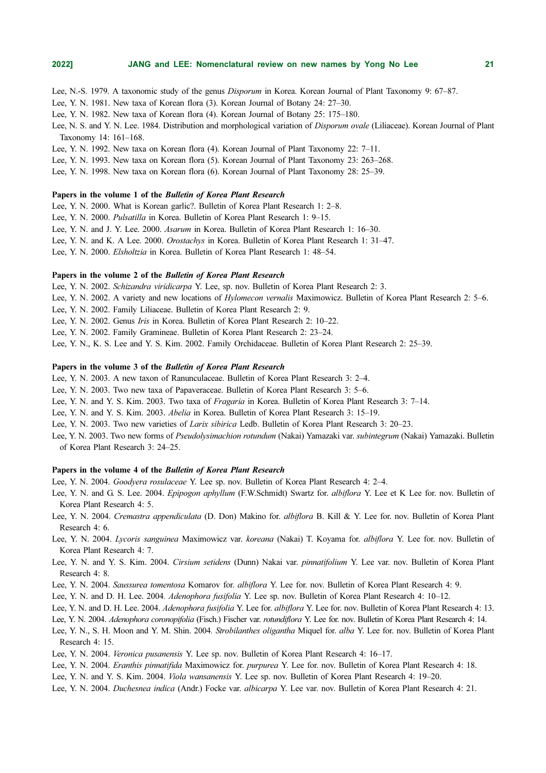Lee, N.-S. 1979. A taxonomic study of the genus Disporum in Korea. Korean Journal of Plant Taxonomy 9: 67–87.

Lee, Y. N. 1981. New taxa of Korean flora (3). Korean Journal of Botany 24: 27–30.

Lee, Y. N. 1982. New taxa of Korean flora (4). Korean Journal of Botany 25: 175–180.

Lee, N. S. and Y. N. Lee. 1984. Distribution and morphological variation of Disporum ovale (Liliaceae). Korean Journal of Plant Taxonomy 14: 161–168.

Lee, Y. N. 1992. New taxa on Korean flora (4). Korean Journal of Plant Taxonomy 22: 7–11.

Lee, Y. N. 1993. New taxa on Korean flora (5). Korean Journal of Plant Taxonomy 23: 263–268.

Lee, Y. N. 1998. New taxa on Korean flora (6). Korean Journal of Plant Taxonomy 28: 25–39.

# Papers in the volume 1 of the Bulletin of Korea Plant Research

Lee, Y. N. 2000. What is Korean garlic?. Bulletin of Korea Plant Research 1: 2–8.

Lee, Y. N. 2000. Pulsatilla in Korea. Bulletin of Korea Plant Research 1: 9–15.

Lee, Y. N. and J. Y. Lee. 2000. Asarum in Korea. Bulletin of Korea Plant Research 1: 16–30.

Lee, Y. N. and K. A Lee. 2000. Orostachys in Korea. Bulletin of Korea Plant Research 1: 31–47.

Lee, Y. N. 2000. Elsholtzia in Korea. Bulletin of Korea Plant Research 1: 48–54.

#### Papers in the volume 2 of the Bulletin of Korea Plant Research

Lee, Y. N. 2002. Schizandra viridicarpa Y. Lee, sp. nov. Bulletin of Korea Plant Research 2: 3.

Lee, Y. N. 2002. A variety and new locations of Hylomecon vernalis Maximowicz. Bulletin of Korea Plant Research 2: 5–6.

Lee, Y. N. 2002. Family Liliaceae. Bulletin of Korea Plant Research 2: 9.

Lee, Y. N. 2002. Genus Iris in Korea. Bulletin of Korea Plant Research 2: 10–22.

Lee, Y. N. 2002. Family Gramineae. Bulletin of Korea Plant Research 2: 23–24.

Lee, Y. N., K. S. Lee and Y. S. Kim. 2002. Family Orchidaceae. Bulletin of Korea Plant Research 2: 25–39.

# Papers in the volume 3 of the Bulletin of Korea Plant Research

Lee, Y. N. 2003. A new taxon of Ranunculaceae. Bulletin of Korea Plant Research 3: 2–4.

Lee, Y. N. 2003. Two new taxa of Papaveraceae. Bulletin of Korea Plant Research 3: 5–6.

- Lee, Y. N. and Y. S. Kim. 2003. Two taxa of Fragaria in Korea. Bulletin of Korea Plant Research 3: 7–14.
- Lee, Y. N. and Y. S. Kim. 2003. Abelia in Korea. Bulletin of Korea Plant Research 3: 15–19.

Lee, Y. N. 2003. Two new varieties of Larix sibirica Ledb. Bulletin of Korea Plant Research 3: 20–23.

Lee, Y. N. 2003. Two new forms of Pseudolysimachion rotundum (Nakai) Yamazaki var. subintegrum (Nakai) Yamazaki. Bulletin of Korea Plant Research 3: 24–25.

# Papers in the volume 4 of the Bulletin of Korea Plant Research

Lee, Y. N. 2004. Goodyera rosulaceae Y. Lee sp. nov. Bulletin of Korea Plant Research 4: 2–4.

- Lee, Y. N. and G. S. Lee. 2004. Epipogon aphyllum (F.W.Schmidt) Swartz for. albiflora Y. Lee et K Lee for. nov. Bulletin of Korea Plant Research 4: 5.
- Lee, Y. N. 2004. Cremastra appendiculata (D. Don) Makino for. albiflora B. Kill & Y. Lee for. nov. Bulletin of Korea Plant Research 4: 6.
- Lee, Y. N. 2004. Lycoris sanguinea Maximowicz var. koreana (Nakai) T. Koyama for. albiflora Y. Lee for. nov. Bulletin of Korea Plant Research 4: 7.
- Lee, Y. N. and Y. S. Kim. 2004. Cirsium setidens (Dunn) Nakai var. pinnatifolium Y. Lee var. nov. Bulletin of Korea Plant Research 4: 8.
- Lee, Y. N. 2004. Saussurea tomentosa Komarov for. albiflora Y. Lee for. nov. Bulletin of Korea Plant Research 4: 9.
- Lee, Y. N. and D. H. Lee. 2004. Adenophora fusifolia Y. Lee sp. nov. Bulletin of Korea Plant Research 4: 10–12.
- Lee, Y. N. and D. H. Lee. 2004. Adenophora fusifolia Y. Lee for. albiflora Y. Lee for. nov. Bulletin of Korea Plant Research 4: 13.
- Lee, Y. N. 2004. Adenophora coronopifolia (Fisch.) Fischer var. rotundiflora Y. Lee for. nov. Bulletin of Korea Plant Research 4: 14.
- Lee, Y. N., S. H. Moon and Y. M. Shin. 2004. Strobilanthes oligantha Miquel for. alba Y. Lee for. nov. Bulletin of Korea Plant Research 4: 15.
- Lee, Y. N. 2004. Veronica pusanensis Y. Lee sp. nov. Bulletin of Korea Plant Research 4: 16–17.
- Lee, Y. N. 2004. Eranthis pinnatifida Maximowicz for. purpurea Y. Lee for. nov. Bulletin of Korea Plant Research 4: 18.
- Lee, Y. N. and Y. S. Kim. 2004. Viola wansanensis Y. Lee sp. nov. Bulletin of Korea Plant Research 4: 19–20.
- Lee, Y. N. 2004. Duchesnea indica (Andr.) Focke var. albicarpa Y. Lee var. nov. Bulletin of Korea Plant Research 4: 21.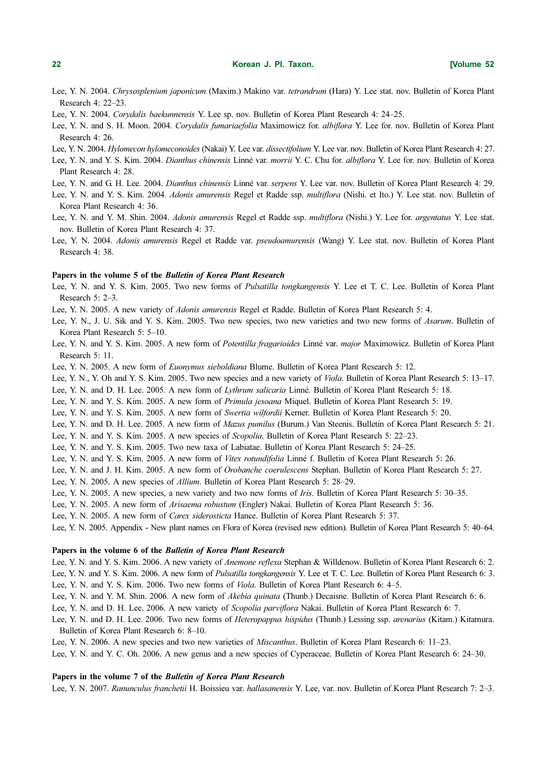# 22 Korean J. PI. Taxon. [Volume 52

- Lee, Y. N. 2004. Chrysosplenium japonicum (Maxim.) Makino var. tetrandrum (Hara) Y. Lee stat. nov. Bulletin of Korea Plant Research 4: 22–23.
- Lee, Y. N. 2004. Corydalis baekunnensis Y. Lee sp. nov. Bulletin of Korea Plant Research 4: 24–25.
- Lee, Y. N. and S. H. Moon. 2004. Corydalis fumariaefolia Maximowicz for. albiflora Y. Lee for. nov. Bulletin of Korea Plant Research 4: 26.
- Lee, Y. N. 2004. *Hylomecon hylomeconoides* (Nakai) Y. Lee var. *dissectifolium* Y. Lee var. nov. Bulletin of Korea Plant Research 4: 27.
- Lee, Y. N. and Y. S. Kim. 2004. Dianthus chinensis Linné var. morrii Y. C. Chu for. albiflora Y. Lee for. nov. Bulletin of Korea Plant Research 4: 28.
- Lee, Y. N. and G. H. Lee. 2004. Dianthus chinensis Linné var. serpens Y. Lee var. nov. Bulletin of Korea Plant Research 4: 29.
- Lee, Y. N. and Y. S. Kim. 2004. Adonis amurensis Regel et Radde ssp. multiflora (Nishi. et Ito.) Y. Lee stat. nov. Bulletin of Korea Plant Research 4: 36.
- Lee, Y. N. and Y. M. Shin. 2004. *Adonis amurensis* Regel et Radde ssp. *multiflora* (Nishi.) Y. Lee for. *argentatus* Y. Lee stat. nov. Bulletin of Korea Plant Research 4: 37.
- Lee, Y. N. 2004. Adonis amurensis Regel et Radde var. pseudoamurensis (Wang) Y. Lee stat. nov. Bulletin of Korea Plant Research 4: 38.

#### Papers in the volume 5 of the Bulletin of Korea Plant Research

- Lee, Y. N. and Y. S. Kim. 2005. Two new forms of *Pulsatilla tongkangensis* Y. Lee et T. C. Lee. Bulletin of Korea Plant Research 5: 2–3.
- Lee, Y. N. 2005. A new variety of Adonis amurensis Regel et Radde. Bulletin of Korea Plant Research 5: 4.
- Lee, Y. N., J. U. Sik and Y. S. Kim. 2005. Two new species, two new varieties and two new forms of Asarum. Bulletin of Korea Plant Research 5: 5–10.
- Lee, Y. N. and Y. S. Kim. 2005. A new form of Potentilla fragarioides Linné var. major Maximowicz. Bulletin of Korea Plant Research 5: 11.
- Lee, Y. N. 2005. A new form of Euonymus sieboldiana Blume. Bulletin of Korea Plant Research 5: 12.
- Lee, Y. N., Y. Oh and Y. S. Kim. 2005. Two new species and a new variety of Viola. Bulletin of Korea Plant Research 5: 13–17.
- Lee, Y. N. and D. H. Lee. 2005. A new form of Lythrum salicaria Linné. Bulletin of Korea Plant Research 5: 18.
- Lee, Y. N. and Y. S. Kim. 2005. A new form of Primula jesoana Miquel. Bulletin of Korea Plant Research 5: 19.
- Lee, Y. N. and Y. S. Kim. 2005. A new form of Swertia wilfordii Kerner. Bulletin of Korea Plant Research 5: 20.
- Lee, Y. N. and D. H. Lee. 2005. A new form of Mazus pumilus (Burum.) Van Steenis. Bulletin of Korea Plant Research 5: 21.
- Lee, Y. N. and Y. S. Kim. 2005. A new species of Scopolia. Bulletin of Korea Plant Research 5: 22–23.
- Lee, Y. N. and Y. S. Kim. 2005. Two new taxa of Labiatae. Bulletin of Korea Plant Research 5: 24–25.
- Lee, Y. N. and Y. S. Kim. 2005. A new form of Vitex rotundifolia Linné f. Bulletin of Korea Plant Research 5: 26.
- Lee, Y. N. and J. H. Kim. 2005. A new form of Orobanche coerulescens Stephan. Bulletin of Korea Plant Research 5: 27.
- Lee, Y. N. 2005. A new species of Allium. Bulletin of Korea Plant Research 5: 28–29.
- Lee, Y. N. 2005. A new species, a new variety and two new forms of *Iris*. Bulletin of Korea Plant Research 5: 30–35.
- Lee, Y. N. 2005. A new form of Arisaema robustum (Engler) Nakai. Bulletin of Korea Plant Research 5: 36.
- Lee, Y. N. 2005. A new form of Carex siderosticta Hance. Bulletin of Korea Plant Research 5: 37.
- Lee, Y. N. 2005. Appendix New plant names on Flora of Korea (revised new edition). Bulletin of Korea Plant Research 5: 40–64.

# Papers in the volume 6 of the Bulletin of Korea Plant Research

- Lee, Y. N. and Y. S. Kim. 2006. A new variety of Anemone reflexa Stephan & Willdenow. Bulletin of Korea Plant Research 6: 2.
- Lee, Y. N. and Y. S. Kim. 2006. A new form of *Pulsatilla tongkangensis* Y. Lee et T. C. Lee. Bulletin of Korea Plant Research 6: 3.
- Lee, Y. N. and Y. S. Kim. 2006. Two new forms of Viola. Bulletin of Korea Plant Research 6: 4–5.
- Lee, Y. N. and Y. M. Shin. 2006. A new form of Akebia quinata (Thunb.) Decaisne. Bulletin of Korea Plant Research 6: 6.
- Lee, Y. N. and D. H. Lee. 2006. A new variety of Scopolia parviflora Nakai. Bulletin of Korea Plant Research 6: 7.
- Lee, Y. N. and D. H. Lee. 2006. Two new forms of *Heteropappus hispidus* (Thunb.) Lessing ssp. *arenarius* (Kitam.) Kitamura. Bulletin of Korea Plant Research 6: 8–10.
- Lee, Y. N. 2006. A new species and two new varieties of *Miscanthus*. Bulletin of Korea Plant Research 6: 11–23.
- Lee, Y. N. and Y. C. Oh. 2006. A new genus and a new species of Cyperaceae. Bulletin of Korea Plant Research 6: 24–30.

# Papers in the volume 7 of the Bulletin of Korea Plant Research

Lee, Y. N. 2007. Ranunculus franchetii H. Boissieu var. hallasanensis Y. Lee, var. nov. Bulletin of Korea Plant Research 7: 2–3.